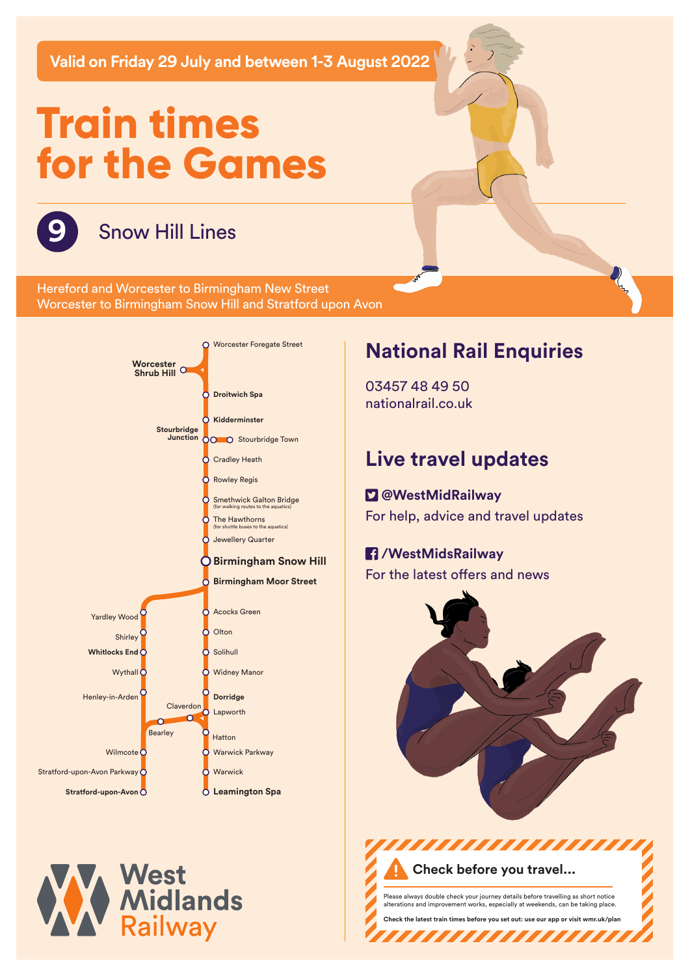**Valid on Friday 29 July and between 1-3 August 2022**

# **Train times for the Games**



## **9** Snow Hill Lines

Hereford and Worcester to Birmingham New Street Worcester to Birmingham Snow Hill and Stratford upon Avon





# **National Rail Enquiries**

03457 48 49 50 nationalrail.co.uk

# **Live travel updates**

### **@WestMidRailway**

For help, advice and travel updates

## **/WestMidsRailway**

For the latest offers and news



,,,,,,,,,,,,,,,, **Check before you travel...**

Please always double check your journey details before travelling as short notice alterations are chockended.<br>The taking place.

**Check the latest train times before you set out: use our app or visit wmr.uk/plan** 

7777777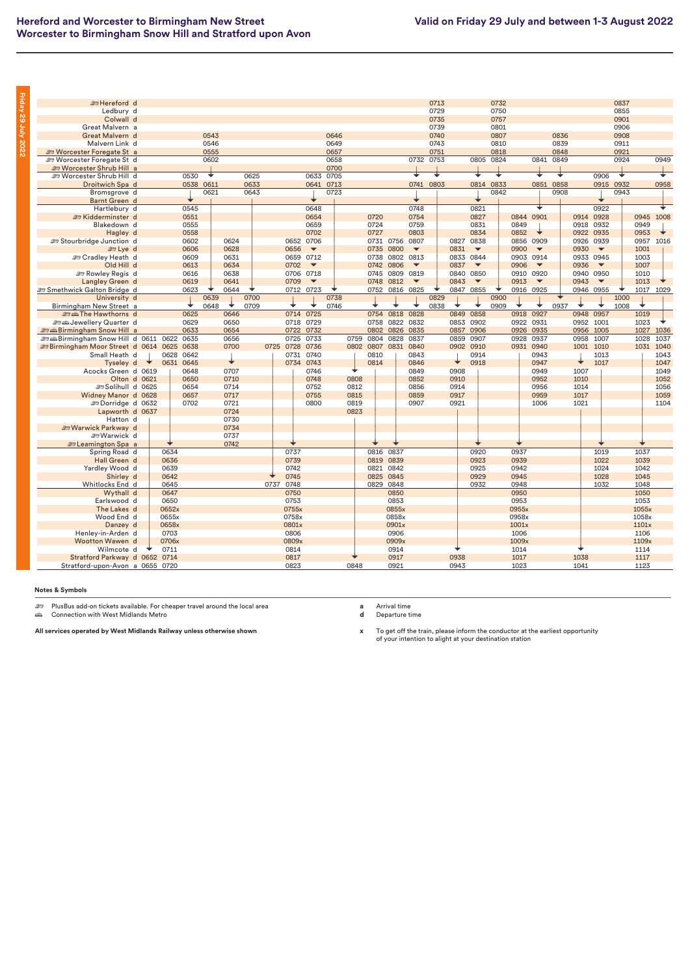| <b>E</b> Hereford d                              |   |           |           |      |      |      |              |                          |      |      |      |           |                          | 0713 |      |                          | 0732 |       |                          |      |           |                          | 0837      |           |      |
|--------------------------------------------------|---|-----------|-----------|------|------|------|--------------|--------------------------|------|------|------|-----------|--------------------------|------|------|--------------------------|------|-------|--------------------------|------|-----------|--------------------------|-----------|-----------|------|
| Ledbury d                                        |   |           |           |      |      |      |              |                          |      |      |      |           |                          | 0729 |      |                          | 0750 |       |                          |      |           |                          | 0855      |           |      |
| Colwall d                                        |   |           |           |      |      |      |              |                          |      |      |      |           |                          | 0735 |      |                          | 0757 |       |                          |      |           |                          | 0901      |           |      |
| Great Malvern a                                  |   |           |           |      |      |      |              |                          |      |      |      |           |                          | 0739 |      |                          | 0801 |       |                          |      |           |                          | 0906      |           |      |
| Great Malvern d                                  |   |           |           | 0543 |      |      |              |                          | 0646 |      |      |           |                          | 0740 |      |                          | 0807 |       |                          | 0836 |           |                          | 0908      |           |      |
| Malvern Link d                                   |   |           |           | 0546 |      |      |              |                          | 0649 |      |      |           |                          | 0743 |      |                          | 0810 |       |                          | 0839 |           |                          | 0911      |           |      |
| <b>ED Worcester Foregate St a</b>                |   |           |           | 0555 |      |      |              |                          | 0657 |      |      |           |                          | 0751 |      |                          | 0818 |       |                          | 0848 |           |                          | 0921      |           |      |
| <b>ED Worcester Foregate St d</b>                |   |           |           | 0602 |      |      |              |                          | 0658 |      |      |           | 0732                     | 0753 |      | 0805                     | 0824 |       | 0841                     | 0849 |           |                          | 0924      |           | 0949 |
| <b>ED Worcester Shrub Hill a</b>                 |   |           |           |      |      |      |              |                          | 0700 |      |      |           |                          |      |      |                          |      |       |                          |      |           |                          |           |           |      |
| Se Worcester Shrub Hill d                        |   |           | 0530      | ¥    |      | 0625 |              | 0633                     | 0705 |      |      |           | ┺                        | ∓    |      |                          | ∓    |       |                          |      |           | 0906                     | ¥         |           |      |
| Droitwich Spa d                                  |   |           | 0538 0611 |      |      | 0633 |              | 0641                     | 0713 |      |      |           | 0741                     | 0803 |      | 0814                     | 0833 |       | 0851                     | 0858 |           |                          | 0915 0932 |           | 0958 |
| Bromsgrove d                                     |   |           |           | 0621 |      | 0643 |              |                          | 0723 |      |      |           |                          |      |      |                          | 0842 |       |                          | 0908 |           |                          | 0943      |           |      |
| Barnt Green d                                    |   |           |           |      |      |      |              |                          |      |      |      |           |                          |      |      |                          |      |       |                          |      |           |                          |           |           |      |
| Hartlebury d                                     |   |           | 0545      |      |      |      |              | 0648                     |      |      |      |           | 0748                     |      |      | 0821                     |      |       | ∓                        |      |           | 0922                     |           |           | ∓    |
|                                                  |   |           |           |      |      |      |              |                          |      |      |      |           |                          |      |      |                          |      |       |                          |      |           |                          |           |           |      |
| Sidderminster d                                  |   |           | 0551      |      |      |      |              | 0654                     |      |      | 0720 |           | 0754                     |      |      | 0827                     |      | 0844  | 0901                     |      | 0914      | 0928                     |           | 0945 1008 |      |
| Blakedown d                                      |   |           | 0555      |      |      |      |              | 0659                     |      |      | 0724 |           | 0759                     |      |      | 0831                     |      | 0849  |                          |      | 0918      | 0932                     |           | 0949      |      |
| Hagley d                                         |   |           | 0558      |      |      |      |              | 0702                     |      |      | 0727 |           | 0803                     |      |      | 0834                     |      | 0852  |                          |      | 0922      | 0935                     |           | 0953      |      |
| Stourbridge Junction d                           |   |           | 0602      |      | 0624 |      |              | 0652 0706                |      |      | 0731 | 0756      | 0807                     |      | 0827 | 0838                     |      | 0856  | 0909                     |      | 0926      | 0939                     |           | 0957      | 1016 |
| <b>et Lye</b> d                                  |   |           | 0606      |      | 0628 |      | 0656         | $\overline{\phantom{a}}$ |      |      | 0735 | 0800      | $\overline{\phantom{a}}$ |      | 0831 | $\overline{\phantom{a}}$ |      | 0900  | $\overline{\phantom{a}}$ |      | 0930      | $\overline{\phantom{a}}$ |           | 1001      |      |
| <b>English</b> Cradley Heath d                   |   |           | 0609      |      | 0631 |      | 0659         | 0712                     |      |      | 0738 | 0802      | 0813                     |      | 0833 | 0844                     |      | 0903  | 0914                     |      | 0933      | 0945                     |           | 1003      |      |
| Old Hill d                                       |   |           | 0613      |      | 0634 |      | 0702         | $\overline{\phantom{a}}$ |      |      | 0742 | 0806      | $\overline{\phantom{a}}$ |      | 0837 | $\overline{\phantom{a}}$ |      | 0906  | $\overline{\phantom{a}}$ |      | 0936      | $\overline{\phantom{a}}$ |           | 1007      |      |
| Rowley Regis d                                   |   |           | 0616      |      | 0638 |      |              | 0706 0718                |      |      | 0745 | 0809 0819 |                          |      | 0840 | 0850                     |      | 0910  | 0920                     |      | 0940      | 0950                     |           | 1010      |      |
| Langley Green d                                  |   |           | 0619      |      | 0641 |      | 0709         | $\overline{\phantom{a}}$ |      |      | 0748 | 0812      | $\overline{\phantom{a}}$ |      | 0843 | $\overline{\phantom{a}}$ |      | 0913  | $\overline{\phantom{a}}$ |      | 0943      | $\overline{\phantom{a}}$ |           | 1013      |      |
| Smethwick Galton Bridge d                        |   |           | 0623      |      | 0644 |      |              | 0712 0723                |      |      | 0752 |           | 0816 0825                |      | 0847 | 0855                     |      |       | 0916 0925                |      | 0946      | 0955                     |           | 1017      | 1029 |
| University d                                     |   |           |           | 0639 |      | 0700 |              |                          | 0738 |      |      |           |                          | 0829 |      |                          | 0900 |       |                          |      |           |                          | 1000      |           |      |
| Birmingham New Street a                          |   |           | ◆         | 0648 | ÷    | 0709 |              |                          | 0746 |      |      |           |                          | 0838 |      |                          | 0909 | ◆     |                          | 0937 |           |                          | 1008      |           |      |
| <b>Edith The Hawthorns</b> d                     |   |           | 0625      |      | 0646 |      |              | 0714 0725                |      |      | 0754 | 0818      | 0828                     |      | 0849 | 0858                     |      | 0918  | 0927                     |      | 0948      | 0957                     |           | 1019      |      |
| strategie Jewellery Quarter d                    |   |           | 0629      |      | 0650 |      |              | 0718 0729                |      |      | 0758 | 0822      | 0832                     |      | 0853 | 0902                     |      | 0922  | 0931                     |      | 0952      | 1001                     |           | 1023      |      |
| <b>ED A Birmingham Snow Hill a</b>               |   |           | 0633      |      | 0654 |      | 0722         | 0732                     |      |      | 0802 | 0826 0835 |                          |      | 0857 | 0906                     |      | 0926  | 0935                     |      | 0956 1005 |                          |           | 1027      | 1036 |
| <b><i>a</i></b> Alimingham Snow Hill d 0611 0622 |   |           | 0635      |      | 0656 |      | 0725         | 0733                     |      | 0759 | 0804 | 0828      | 0837                     |      | 0859 | 0907                     |      | 0928  | 0937                     |      | 0958      | 1007                     |           | 1028      | 1037 |
| <b>ED Birmingham Moor Street d</b>               |   | 0614 0625 | 0638      |      | 0700 |      | 0725<br>0728 | 0736                     |      | 0802 | 0807 | 0831 0840 |                          |      | 0902 | 0910                     |      |       | 0931 0940                |      | 1001      | 1010                     |           | 1031      | 1040 |
| Small Heath d                                    |   |           | 0628 0642 |      |      |      |              | 0731 0740                |      |      | 0810 |           | 0843                     |      |      | 0914                     |      |       | 0943                     |      |           | 1013                     |           |           | 1043 |
| Tyseley d                                        | ◆ | 0631 0645 |           |      | ↓    |      |              | 0734 0743                |      |      | 0814 |           | 0846                     |      | ÷    | 0918                     |      |       | 0947                     |      | ◆         | 1017                     |           |           | 1047 |
| Acocks Green d 0619                              |   |           | 0648      |      | 0707 |      |              | 0746                     |      |      |      |           | 0849                     |      | 0908 |                          |      |       | 0949                     |      | 1007      |                          |           |           | 1049 |
| Olton d 0621                                     |   |           | 0650      |      | 0710 |      |              | 0748                     |      | 0808 |      |           | 0852                     |      | 0910 |                          |      |       | 0952                     |      | 1010      |                          |           |           | 1052 |
|                                                  |   |           | 0654      |      | 0714 |      |              | 0752                     |      | 0812 |      |           | 0856                     |      | 0914 |                          |      |       | 0956                     |      | 1014      |                          |           |           | 1056 |
| Solihull d 0625                                  |   |           |           |      |      |      |              |                          |      |      |      |           |                          |      |      |                          |      |       |                          |      |           |                          |           |           |      |
| Widney Manor d 0628                              |   |           | 0657      |      | 0717 |      |              | 0755                     |      | 0815 |      |           | 0859                     |      | 0917 |                          |      |       | 0959                     |      | 1017      |                          |           |           | 1059 |
| <b>EDorridge d 0632</b>                          |   |           | 0702      |      | 0721 |      |              | 0800                     |      | 0819 |      |           | 0907                     |      | 0921 |                          |      |       | 1006                     |      | 1021      |                          |           |           | 1104 |
| Lapworth d 0637                                  |   |           |           |      | 0724 |      |              |                          |      | 0823 |      |           |                          |      |      |                          |      |       |                          |      |           |                          |           |           |      |
| Hatton d                                         |   |           |           |      | 0730 |      |              |                          |      |      |      |           |                          |      |      |                          |      |       |                          |      |           |                          |           |           |      |
| <b>EWarwick Parkway</b> d                        |   |           |           |      | 0734 |      |              |                          |      |      |      |           |                          |      |      |                          |      |       |                          |      |           |                          |           |           |      |
| SWarwick d                                       |   |           |           |      | 0737 |      |              |                          |      |      |      |           |                          |      |      |                          |      |       |                          |      |           |                          |           |           |      |
| <b>En Leamington Spa</b> a                       |   |           |           |      | 0742 |      |              |                          |      |      |      |           |                          |      |      |                          |      |       |                          |      |           |                          |           |           |      |
| Spring Road d                                    |   | 0634      |           |      |      |      | 0737         |                          |      |      | 0816 | 0837      |                          |      |      | 0920                     |      | 0937  |                          |      |           | 1019                     |           | 1037      |      |
| Hall Green d                                     |   | 0636      |           |      |      |      | 0739         |                          |      |      | 0819 | 0839      |                          |      |      | 0923                     |      | 0939  |                          |      |           | 1022                     |           | 1039      |      |
| Yardley Wood d                                   |   | 0639      |           |      |      |      | 0742         |                          |      |      | 0821 | 0842      |                          |      |      | 0925                     |      | 0942  |                          |      |           | 1024                     |           | 1042      |      |
| Shirley d                                        |   | 0642      |           |      |      |      | 0745         |                          |      |      | 0825 | 0845      |                          |      |      | 0929                     |      | 0945  |                          |      |           | 1028                     |           | 1045      |      |
| Whitlocks End d                                  |   | 0645      |           |      |      |      | 0737<br>0748 |                          |      |      |      | 0829 0848 |                          |      |      | 0932                     |      | 0948  |                          |      |           | 1032                     |           | 1048      |      |
| Wythall d                                        |   | 0647      |           |      |      |      | 0750         |                          |      |      |      | 0850      |                          |      |      |                          |      | 0950  |                          |      |           |                          |           | 1050      |      |
| Earlswood d                                      |   | 0650      |           |      |      |      | 0753         |                          |      |      |      | 0853      |                          |      |      |                          |      | 0953  |                          |      |           |                          |           | 1053      |      |
| The Lakes d                                      |   | 0652x     |           |      |      |      | 0755x        |                          |      |      |      | 0855x     |                          |      |      |                          |      | 0955x |                          |      |           |                          |           | 1055x     |      |
| Wood End d                                       |   | 0655x     |           |      |      |      | 0758x        |                          |      |      |      | 0858x     |                          |      |      |                          |      | 0958x |                          |      |           |                          |           | 1058x     |      |
| Danzey d                                         |   | 0658x     |           |      |      |      | 0801x        |                          |      |      |      | 0901x     |                          |      |      |                          |      | 1001x |                          |      |           |                          |           | 1101x     |      |
| Henley-in-Arden d                                |   | 0703      |           |      |      |      | 0806         |                          |      |      |      | 0906      |                          |      |      |                          |      | 1006  |                          |      |           |                          |           | 1106      |      |
| Wootton Wawen d                                  |   | 0706x     |           |      |      |      | 0809x        |                          |      |      |      | 0909x     |                          |      |      |                          |      | 1009x |                          |      |           |                          |           | 1109x     |      |
| Wilmcote d                                       |   | 0711      |           |      |      |      | 0814         |                          |      |      |      | 0914      |                          |      |      |                          |      | 1014  |                          |      |           |                          |           | 1114      |      |
|                                                  |   |           |           |      |      |      |              |                          |      |      |      | 0917      |                          |      | 0938 |                          |      |       |                          |      | 1038      |                          |           |           |      |
| Stratford Parkway d 0652 0714                    |   |           |           |      |      |      | 0817         |                          |      |      |      |           |                          |      |      |                          |      | 1017  |                          |      |           |                          |           | 1117      |      |
| Stratford-upon-Avon a 0655 0720                  |   |           |           |      |      |      | 0823         |                          |      | 0848 |      | 0921      |                          |      | 0943 |                          |      | 1023  |                          |      | 1041      |                          |           | 1123      |      |

**Friday 29 July 2022**

Friday 29 July 20

<del>هك</del> PlusBus add-on tickets available. For cheaper travel around the local area<br>ه*ف* Connection with West Midlands Metro

**All services operated by West Midlands Railway unless otherwise shown**

**a** Arrival time **d** Departure time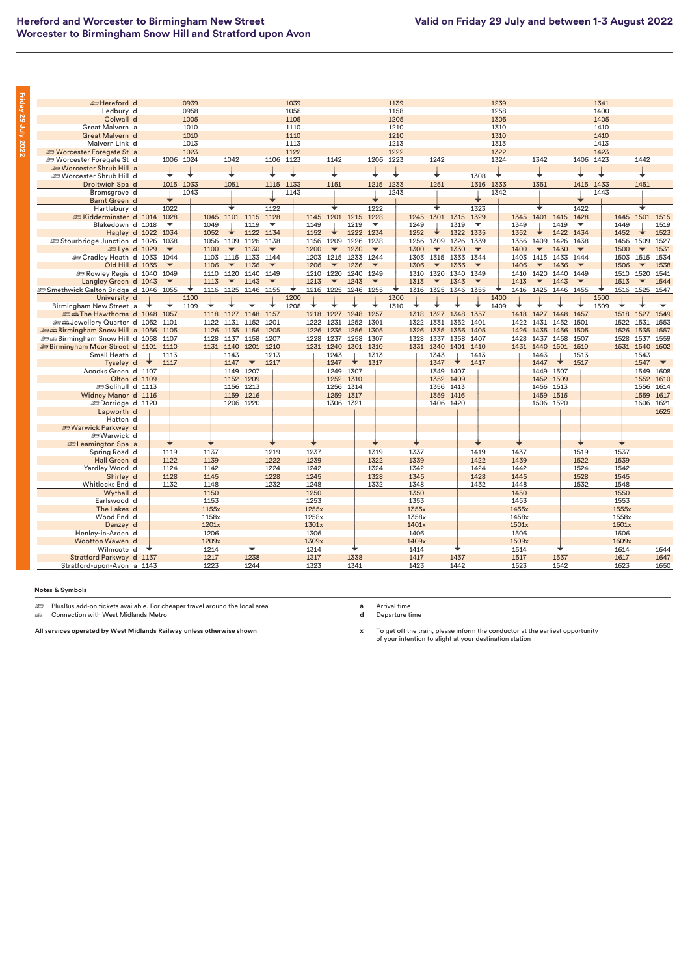| i                                                                                                                          |  |
|----------------------------------------------------------------------------------------------------------------------------|--|
| r<br>i                                                                                                                     |  |
| I<br>i                                                                                                                     |  |
| r<br>ı                                                                                                                     |  |
|                                                                                                                            |  |
| I                                                                                                                          |  |
| ı                                                                                                                          |  |
| ī<br>ı                                                                                                                     |  |
| I<br>ı                                                                                                                     |  |
| i<br><b>Service Service</b>                                                                                                |  |
|                                                                                                                            |  |
| ֠                                                                                                                          |  |
|                                                                                                                            |  |
| ı                                                                                                                          |  |
| <b>Contract Contract Contract Contract Contract Contract Contract Contract Contract Contract Contract Contract Co</b>      |  |
|                                                                                                                            |  |
| I                                                                                                                          |  |
|                                                                                                                            |  |
|                                                                                                                            |  |
|                                                                                                                            |  |
|                                                                                                                            |  |
| ı                                                                                                                          |  |
| I                                                                                                                          |  |
|                                                                                                                            |  |
| ī                                                                                                                          |  |
| ī<br><b>Contract Contract Contract Contract Contract Contract Contract Contract Contract Contract Contract Contract C</b>  |  |
| r                                                                                                                          |  |
| ۱                                                                                                                          |  |
| ı                                                                                                                          |  |
| i                                                                                                                          |  |
|                                                                                                                            |  |
| ı                                                                                                                          |  |
|                                                                                                                            |  |
|                                                                                                                            |  |
|                                                                                                                            |  |
|                                                                                                                            |  |
|                                                                                                                            |  |
| ı                                                                                                                          |  |
|                                                                                                                            |  |
|                                                                                                                            |  |
| ı<br><b>Contract Contract Contract Contract Contract Contract Contract Contract Contract Contract Contract Contract Co</b> |  |

| <b>Entereford</b> d                              |  |                                  | 0939 |              |                          |                     |                          | 1039      |       |                          |                     |                                  | 1139 |              |                          |           |                              | 1239 |              |                          |                     |                                  | 1341 |              |                          |      |
|--------------------------------------------------|--|----------------------------------|------|--------------|--------------------------|---------------------|--------------------------|-----------|-------|--------------------------|---------------------|----------------------------------|------|--------------|--------------------------|-----------|------------------------------|------|--------------|--------------------------|---------------------|----------------------------------|------|--------------|--------------------------|------|
| Ledbury d                                        |  |                                  | 0958 |              |                          |                     |                          | 1058      |       |                          |                     |                                  | 1158 |              |                          |           |                              | 1258 |              |                          |                     |                                  | 1400 |              |                          |      |
| Colwall d                                        |  |                                  | 1005 |              |                          |                     |                          | 1105      |       |                          |                     |                                  | 1205 |              |                          |           |                              | 1305 |              |                          |                     |                                  | 1405 |              |                          |      |
| Great Malvern a                                  |  |                                  | 1010 |              |                          |                     |                          | 1110      |       |                          |                     |                                  | 1210 |              |                          |           |                              | 1310 |              |                          |                     |                                  | 1410 |              |                          |      |
| Great Malvern d                                  |  |                                  | 1010 |              |                          |                     |                          | 1110      |       |                          |                     |                                  | 1210 |              |                          |           |                              | 1310 |              |                          |                     |                                  | 1410 |              |                          |      |
| Malvern Link d                                   |  |                                  | 1013 |              |                          |                     |                          | 1113      |       |                          |                     |                                  | 1213 |              |                          |           |                              | 1313 |              |                          |                     |                                  | 1413 |              |                          |      |
| <b>ED Worcester Foregate St a</b>                |  |                                  | 1023 |              |                          |                     |                          | 1122      |       |                          |                     |                                  | 1222 |              |                          |           |                              | 1322 |              |                          |                     |                                  | 1423 |              |                          |      |
| <b>ED Worcester Foregate St d</b>                |  | 1006                             | 1024 |              | 1042                     |                     |                          | 1106 1123 |       | 1142                     |                     | 1206                             | 1223 |              | 1242                     |           |                              | 1324 |              | 1342                     |                     | 1406 1423                        |      |              | 1442                     |      |
| <b>ED Worcester Shrub Hill a</b>                 |  |                                  | ∓    |              |                          |                     |                          | ∓         |       |                          |                     |                                  | ∓    |              | ∓                        |           |                              | ∓    |              |                          |                     |                                  | ∓    |              |                          |      |
| Sworcester Shrub Hill d                          |  |                                  |      |              |                          |                     |                          |           |       |                          |                     |                                  |      |              |                          |           | 1308                         |      |              |                          |                     |                                  |      |              |                          |      |
| Droitwich Spa d                                  |  | 1015                             | 1033 |              | 1051                     |                     | 1115                     | 1133      |       | 1151                     |                     | 1215                             | 1233 |              | 1251                     |           | 1316                         | 1333 |              | 1351                     |                     | 1415                             | 1433 |              | 1451                     |      |
| Bromsgrove d                                     |  |                                  | 1043 |              |                          |                     |                          | 1143      |       |                          |                     |                                  | 1243 |              |                          |           |                              | 1342 |              |                          |                     |                                  | 1443 |              |                          |      |
| Barnt Green d                                    |  | 1022                             |      |              |                          |                     | 1122                     |           |       |                          |                     | 1222                             |      |              |                          |           | 1323                         |      |              |                          |                     | 1422                             |      |              |                          |      |
| Hartlebury d                                     |  |                                  |      |              |                          | 1101 1115           | 1128                     |           |       |                          |                     |                                  |      |              | 1301 1315                |           |                              |      |              | 1401 1415                |                     |                                  |      |              | 1501 1515                |      |
| Exidderminster d 1014<br>Blakedown d 1018        |  | 1028<br>$\overline{\phantom{a}}$ |      | 1045<br>1049 |                          | 1119                | $\overline{\phantom{a}}$ |           | 1149  | 1145 1201 1215           | 1219                | 1228<br>$\overline{\phantom{a}}$ |      | 1245<br>1249 |                          | 1319      | 1329<br>$\blacktriangledown$ |      | 1345<br>1349 |                          | 1419                | 1428<br>$\overline{\phantom{a}}$ |      | 1445<br>1449 |                          | 1519 |
|                                                  |  |                                  |      | 1052         |                          | 1122 1134           |                          |           | 1152  |                          |                     | 1222 1234                        |      | 1252         |                          | 1322 1335 |                              |      | 1352         |                          | 1422 1434           |                                  |      | 1452         |                          | 1523 |
| Hagley d 1022<br>Stourbridge Junction d 1026     |  | 1034<br>1038                     |      | 1056         | 1109                     | 1126                | 1138                     |           | 1156  | 1209                     | 1226                | 1238                             |      | 1256         | 1309                     | 1326      | 1339                         |      | 1356         | 1409                     | 1426                | 1438                             |      | 1456         | 1509                     | 1527 |
| £ Lye d 1029                                     |  | $\overline{\phantom{a}}$         |      | 1100         | $\overline{\phantom{a}}$ | 1130                | $\overline{\phantom{0}}$ |           | 1200  | $\overline{\phantom{a}}$ | 1230                | $\overline{\phantom{a}}$         |      | 1300         | $\overline{\phantom{a}}$ | 1330      | $\blacktriangledown$         |      | 1400         | $\blacktriangledown$     | 1430                | $\blacktriangledown$             |      | 1500         | $\overline{\phantom{a}}$ | 1531 |
| Sex Cradley Heath d 1033 1044                    |  |                                  |      | 1103         |                          | 1115 1133 1144      |                          |           | 1203  | 1215                     | 1233 1244           |                                  |      | 1303         | 1315                     | 1333 1344 |                              |      | 1403         | 1415                     | 1433 1444           |                                  |      | 1503         | 1515                     | 1534 |
| Old Hill d 1035                                  |  | $\blacktriangledown$             |      | 1106         | $\overline{\phantom{a}}$ | 1136                | $\blacktriangledown$     |           | 1206  | $\overline{\phantom{a}}$ | 1236                | $\blacktriangledown$             |      | 1306         | $\overline{\phantom{a}}$ | 1336      | $\blacktriangledown$         |      | 1406         | $\overline{\phantom{a}}$ | 1436                | $\overline{\phantom{a}}$         |      | 1506         | $\overline{\phantom{a}}$ | 1538 |
| Rowley Regis d 1040                              |  | 1049                             |      | 1110         | 1120                     | 1140 1149           |                          |           | 1210  | 1220                     | 1240                | 1249                             |      | 1310         | 1320                     | 1340      | 1349                         |      | 1410         | 1420                     | 1440                | 1449                             |      | 1510         | 1520                     | 1541 |
| Langley Green d 1043                             |  | $\overline{\phantom{a}}$         |      | 1113         | $\overline{\phantom{a}}$ | 1143                | $\blacktriangledown$     |           | 1213  | $\blacktriangledown$     | 1243                | $\overline{\phantom{a}}$         |      | 1313         | $\overline{\phantom{a}}$ | 1343      | $\overline{\phantom{a}}$     |      | 1413         | $\overline{\phantom{a}}$ | 1443                | $\overline{\mathbf{v}}$          |      | 1513         | $\overline{\phantom{a}}$ | 1544 |
| Smethwick Galton Bridge d 1046 1055              |  |                                  |      |              |                          | 1116 1125 1146 1155 |                          |           |       |                          | 1216 1225 1246 1255 |                                  |      |              | 1316 1325 1346 1355      |           |                              |      |              |                          | 1416 1425 1446 1455 |                                  |      | 1516 1525    |                          | 1547 |
| University d                                     |  |                                  | 1100 |              |                          |                     |                          | 1200      |       |                          |                     |                                  | 1300 |              |                          |           |                              | 1400 |              |                          |                     |                                  | 1500 |              |                          |      |
| Birmingham New Street a                          |  |                                  | 1109 |              |                          |                     |                          | 1208      |       |                          |                     |                                  | 1310 |              |                          |           |                              | 1409 |              |                          |                     |                                  | 1509 |              |                          |      |
| E min The Hawthorns d 1048 1057                  |  |                                  |      | 1118         | 1127                     | 1148 1157           |                          |           | 1218  | 1227                     | 1248                | 1257                             |      | 1318         | 1327                     | 1348 1357 |                              |      | 1418         | 1427                     | 1448 1457           |                                  |      | 1518         | 1527                     | 1549 |
| Sextembery Quarter d 1052 1101                   |  |                                  |      | 1122         | 1131                     | 1152                | 1201                     |           | 1222  | 1231                     | 1252 1301           |                                  |      | 1322         | 1331                     | 1352 1401 |                              |      | 1422         | 1431                     | 1452 1501           |                                  |      | 1522         | 1531                     | 1553 |
| <b><i>a</i></b> Birmingham Snow Hill a 1056 1105 |  |                                  |      | 1126         | 1135                     | 1156 1205           |                          |           | 1226  | 1235                     | 1256 1305           |                                  |      | 1326         | 1335                     | 1356 1405 |                              |      | 1426         | 1435                     | 1456 1505           |                                  |      | 1526         | 1535                     | 1557 |
| <b><i>a</i></b> Alirmingham Snow Hill d 1058     |  | 1107                             |      | 1128         | 1137                     | 1158                | 1207                     |           | 1228  | 1237                     | 1258                | 1307                             |      | 1328         | 1337                     | 1358      | 1407                         |      | 1428         | 1437                     | 1458                | 1507                             |      | 1528         | 1537                     | 1559 |
| <b>ED Birmingham Moor Street d 1101 1110</b>     |  |                                  |      | 1131 1140    |                          | 1201 1210           |                          |           |       | 1231 1240                | 1301 1310           |                                  |      |              | 1331 1340                | 1401 1410 |                              |      |              | 1431 1440                | 1501 1510           |                                  |      | 1531 1540    |                          | 1602 |
| Small Heath d                                    |  | 1113                             |      |              | 1143                     |                     | 1213                     |           |       | 1243                     |                     | 1313                             |      |              | 1343                     |           | 1413                         |      |              | 1443                     |                     | 1513                             |      |              | 1543                     |      |
| Tyseley d                                        |  | 1117                             |      |              | 1147                     | ◆                   | 1217                     |           |       | 1247                     | ◆                   | 1317                             |      |              | 1347                     | ⋄         | 1417                         |      |              | 1447                     | ◆                   | 1517                             |      |              | 1547                     | ◆    |
| Acocks Green d 1107                              |  |                                  |      |              | 1149                     | 1207                |                          |           |       | 1249                     | 1307                |                                  |      |              | 1349                     | 1407      |                              |      |              | 1449                     | 1507                |                                  |      |              | 1549                     | 1608 |
| Olton d 1109                                     |  |                                  |      |              | 1152                     | 1209                |                          |           |       | 1252                     | 1310                |                                  |      |              | 1352                     | 1409      |                              |      |              | 1452                     | 1509                |                                  |      |              | 1552                     | 1610 |
| Solihull d 1113                                  |  |                                  |      |              | 1156 1213                |                     |                          |           |       |                          | 1256 1314           |                                  |      |              | 1356 1413                |           |                              |      |              | 1456 1513                |                     |                                  |      |              | 1556                     | 1614 |
| Widney Manor d 1116                              |  |                                  |      |              | 1159 1216                |                     |                          |           |       |                          | 1259 1317           |                                  |      |              | 1359 1416                |           |                              |      |              | 1459 1516                |                     |                                  |      |              | 1559                     | 1617 |
| <b>EDorridge d 1120</b>                          |  |                                  |      |              | 1206 1220                |                     |                          |           |       | 1306 1321                |                     |                                  |      |              |                          | 1406 1420 |                              |      |              | 1506 1520                |                     |                                  |      |              | 1606 1621                |      |
| Lapworth d                                       |  |                                  |      |              |                          |                     |                          |           |       |                          |                     |                                  |      |              |                          |           |                              |      |              |                          |                     |                                  |      |              |                          | 1625 |
| Hatton d                                         |  |                                  |      |              |                          |                     |                          |           |       |                          |                     |                                  |      |              |                          |           |                              |      |              |                          |                     |                                  |      |              |                          |      |
| Warwick Parkway d                                |  |                                  |      |              |                          |                     |                          |           |       |                          |                     |                                  |      |              |                          |           |                              |      |              |                          |                     |                                  |      |              |                          |      |
| <b>em Warwick d</b>                              |  |                                  |      |              |                          |                     |                          |           |       |                          |                     |                                  |      |              |                          |           |                              |      |              |                          |                     |                                  |      |              |                          |      |
| <b>En Leamington Spa</b> a                       |  |                                  |      |              |                          |                     |                          |           |       |                          |                     |                                  |      |              |                          |           |                              |      |              |                          |                     |                                  |      |              |                          |      |
| Spring Road d                                    |  | 1119                             |      | 1137         |                          |                     | 1219                     |           | 1237  |                          |                     | 1319                             |      | 1337         |                          |           | 1419                         |      | 1437         |                          |                     | 1519                             |      | 1537         |                          |      |
| Hall Green d                                     |  | 1122                             |      | 1139         |                          |                     | 1222                     |           | 1239  |                          |                     | 1322                             |      | 1339         |                          |           | 1422                         |      | 1439         |                          |                     | 1522                             |      | 1539         |                          |      |
| Yardley Wood d                                   |  | 1124                             |      | 1142         |                          |                     | 1224                     |           | 1242  |                          |                     | 1324                             |      | 1342         |                          |           | 1424                         |      | 1442         |                          |                     | 1524                             |      | 1542         |                          |      |
| Shirley d                                        |  | 1128                             |      | 1145         |                          |                     | 1228                     |           | 1245  |                          |                     | 1328                             |      | 1345         |                          |           | 1428                         |      | 1445         |                          |                     | 1528                             |      | 1545         |                          |      |
| Whitlocks End d                                  |  | 1132                             |      | 1148         |                          |                     | 1232                     |           | 1248  |                          |                     | 1332                             |      | 1348         |                          |           | 1432                         |      | 1448         |                          |                     | 1532                             |      | 1548         |                          |      |
| Wythall d                                        |  |                                  |      | 1150         |                          |                     |                          |           | 1250  |                          |                     |                                  |      | 1350         |                          |           |                              |      | 1450         |                          |                     |                                  |      | 1550         |                          |      |
| Earlswood d                                      |  |                                  |      | 1153         |                          |                     |                          |           | 1253  |                          |                     |                                  |      | 1353         |                          |           |                              |      | 1453         |                          |                     |                                  |      | 1553         |                          |      |
| The Lakes d                                      |  |                                  |      | 1155x        |                          |                     |                          |           | 1255x |                          |                     |                                  |      | 1355x        |                          |           |                              |      | 1455x        |                          |                     |                                  |      | 1555x        |                          |      |
| Wood End d                                       |  |                                  |      | 1158x        |                          |                     |                          |           | 1258x |                          |                     |                                  |      | 1358x        |                          |           |                              |      | 1458x        |                          |                     |                                  |      | 1558x        |                          |      |
| Danzey d                                         |  |                                  |      | 1201x        |                          |                     |                          |           | 1301x |                          |                     |                                  |      | 1401x        |                          |           |                              |      | 1501x        |                          |                     |                                  |      | 1601x        |                          |      |
| Henley-in-Arden d                                |  |                                  |      | 1206         |                          |                     |                          |           | 1306  |                          |                     |                                  |      | 1406         |                          |           |                              |      | 1506         |                          |                     |                                  |      | 1606         |                          |      |
| Wootton Wawen d                                  |  |                                  |      | 1209x        |                          |                     |                          |           | 1309x |                          |                     |                                  |      | 1409x        |                          |           |                              |      | 1509x        |                          |                     |                                  |      | 1609x        |                          |      |
| Wilmcote d                                       |  |                                  |      | 1214         |                          |                     |                          |           | 1314  |                          |                     |                                  |      | 1414         |                          |           |                              |      | 1514         |                          |                     |                                  |      | 1614         |                          | 1644 |
| Stratford Parkway d 1137                         |  |                                  |      | 1217         |                          | 1238                |                          |           | 1317  |                          | 1338                |                                  |      | 1417         |                          | 1437      |                              |      | 1517         |                          | 1537                |                                  |      | 1617         |                          | 1647 |
| Stratford-upon-Avon a 1143                       |  |                                  |      | 1223         |                          | 1244                |                          |           | 1323  |                          | 1341                |                                  |      | 1423         |                          | 1442      |                              |      | 1523         |                          | 1542                |                                  |      | 1623         |                          | 1650 |
|                                                  |  |                                  |      |              |                          |                     |                          |           |       |                          |                     |                                  |      |              |                          |           |                              |      |              |                          |                     |                                  |      |              |                          |      |

<del>هك</del> PlusBus add-on tickets available. For cheaper travel around the local area<br>ه*ف* Connection with West Midlands Metro

**All services operated by West Midlands Railway unless otherwise shown**

**a** Arrival time **d** Departure time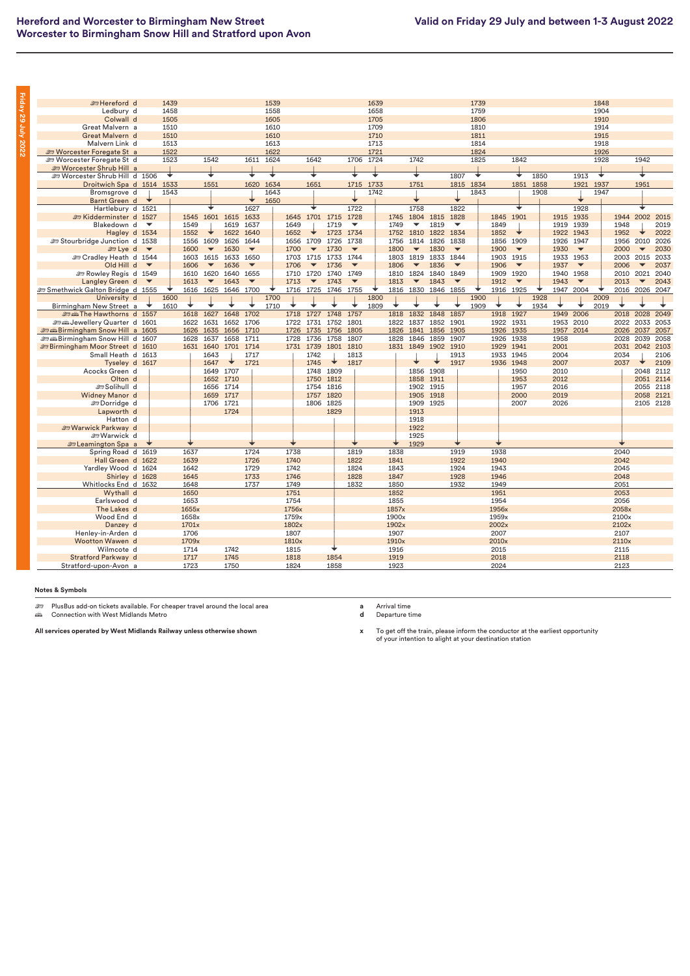| i                                                                                                                          |  |
|----------------------------------------------------------------------------------------------------------------------------|--|
| r<br>i                                                                                                                     |  |
| I<br>i                                                                                                                     |  |
| r<br>ı                                                                                                                     |  |
|                                                                                                                            |  |
| I                                                                                                                          |  |
| ı                                                                                                                          |  |
| ī<br>ı                                                                                                                     |  |
| I<br>ı                                                                                                                     |  |
| i<br><b>Service Service</b>                                                                                                |  |
|                                                                                                                            |  |
| ֠                                                                                                                          |  |
|                                                                                                                            |  |
| ı                                                                                                                          |  |
| <b>Contract Contract Contract Contract Contract Contract Contract Contract Contract Contract Contract Contract Co</b>      |  |
|                                                                                                                            |  |
| I                                                                                                                          |  |
|                                                                                                                            |  |
|                                                                                                                            |  |
|                                                                                                                            |  |
|                                                                                                                            |  |
| ı                                                                                                                          |  |
| I                                                                                                                          |  |
|                                                                                                                            |  |
| ī                                                                                                                          |  |
| ī<br><b>Contract Contract Contract Contract Contract Contract Contract Contract Contract Contract Contract Contract C</b>  |  |
| r                                                                                                                          |  |
| ۱                                                                                                                          |  |
| ı                                                                                                                          |  |
| i                                                                                                                          |  |
|                                                                                                                            |  |
| ı                                                                                                                          |  |
|                                                                                                                            |  |
|                                                                                                                            |  |
|                                                                                                                            |  |
|                                                                                                                            |  |
|                                                                                                                            |  |
| ı                                                                                                                          |  |
|                                                                                                                            |  |
|                                                                                                                            |  |
| ı<br><b>Contract Contract Contract Contract Contract Contract Contract Contract Contract Contract Contract Contract Co</b> |  |

| <b>Entereford d</b><br>1439<br>1848<br>1539<br>1639<br>1739<br>1558<br>1658<br>1759<br>Ledbury d<br>1458<br>1904<br>1705<br>Colwall d<br>1505<br>1605<br>1806<br>1910<br>1709<br>1810<br>Great Malvern a<br>1510<br>1610<br>1914<br>1610<br>1710<br>1811<br>1915<br>Great Malvern d<br>1510<br>Malvern Link d<br>1513<br>1613<br>1713<br>1814<br>1918<br>1522<br>1622<br>1721<br>1824<br>1926<br><b>ED Worcester Foregate St a</b><br><b>ED Worcester Foregate St d</b><br>1523<br>1542<br>1624<br>1642<br>1706<br>1724<br>1742<br>1825<br>1842<br>1928<br>1942<br>1611<br><b>ED Worcester Shrub Hill a</b><br>∓<br>∓<br>⊌<br>∓<br>∓<br>∓<br>1807<br>↴<br>1850<br>¥<br>∓<br>Worcester Shrub Hill d 1506<br>◆<br>1913<br>Droitwich Spa d 1514 1533<br>1551<br>1634<br>1651<br>1715<br>1733<br>1751<br>1815 1834<br>1851<br>1937<br>1951<br>1620<br>1858<br>1921<br>1742<br>Bromsgrove d<br>1543<br>1643<br>1843<br>1908<br>1947<br>1650<br>Barnt Green d<br>1627<br>1722<br>1758<br>1822<br>1928<br>┶<br>Hartlebury d 1521<br>1545 1601 1615<br>1645 1701 1715<br>1728<br>1804 1815<br>1828<br>1845 1901<br>1944 2002<br>2015<br>Exidderminster d 1527<br>1633<br>1745<br>1915 1935<br>Blakedown d<br>1549<br>1619<br>1637<br>1649<br>1719<br>$\overline{\phantom{a}}$<br>1749<br>1819<br>$\overline{\phantom{a}}$<br>1849<br>1919<br>1939<br>1948<br>2019<br>$\overline{\phantom{a}}$<br>▼<br>2022<br>1552<br>1622<br>1640<br>1652<br>1723<br>1734<br>1752 1810<br>1822<br>1834<br>1852<br>1922 1943<br>1952<br>Hagley d 1534<br>1626<br>1644<br>1738<br>1814<br>1826<br>1838<br>1926<br>2010<br>2026<br>Stourbridge Junction d 1538<br>1556 1609<br>1656<br>1709<br>1726<br>1756<br>1856 1909<br>1947<br>1956<br><b>Es Lye</b> d<br>1600<br>1630<br>1700<br>1730<br>1800<br>1830<br>1900<br>1930<br>2000<br>2030<br>$\overline{\phantom{a}}$<br>$\overline{\phantom{a}}$<br>$\overline{\phantom{a}}$<br>$\overline{\phantom{a}}$<br>$\overline{\phantom{a}}$<br>$\overline{\phantom{a}}$<br>$\overline{\phantom{a}}$<br>$\overline{\phantom{a}}$<br>$\overline{\phantom{a}}$<br>$\overline{\phantom{a}}$<br><b>ED Cradley Heath d 1544</b><br>1603<br>1615 1633<br>1650<br>1703 1715 1733<br>1819 1833<br>1844<br>1903 1915<br>1933 1953<br>2003<br>2015<br>2033<br>1744<br>1803<br>Old Hill d<br>1606<br>1636<br>1706<br>1736<br>1806<br>1836<br>1906<br>1937<br>$\overline{\phantom{a}}$<br>2006<br>$\overline{\phantom{a}}$<br>2037<br>$\overline{\phantom{a}}$<br>$\overline{\phantom{a}}$<br>$\overline{\phantom{a}}$<br>$\overline{\phantom{a}}$<br>$\overline{\phantom{a}}$<br>$\overline{\phantom{a}}$<br>$\overline{\phantom{a}}$<br>1810 1824 1840<br>2021<br>2040<br><b>Example 25 Rowley Regis d</b> 1549<br>1610<br>1620<br>1640<br>1655<br>1710 1720<br>1740<br>1749<br>1849<br>1909 1920<br>1940 1958<br>2010<br>Langley Green d<br>1613<br>1643<br>1713<br>1743<br>1813<br>1843<br>1912<br>1943<br>2013<br>2043<br>$\overline{\phantom{a}}$<br>$\overline{\phantom{a}}$<br>$\overline{\mathbf{v}}$<br>$\overline{\phantom{0}}$<br>$\overline{\phantom{a}}$<br>$\overline{\phantom{a}}$<br>$\overline{\phantom{a}}$<br>$\overline{\phantom{a}}$<br>$\overline{\phantom{a}}$<br>1947 2004<br>Smethwick Galton Bridge d 1555<br>1616<br>1625<br>1646<br>1700<br>1716<br>1725<br>1816<br>1830<br>1855<br>1916 1925<br>2016 2026<br>2047<br>1746<br>1755<br>1846<br>1928<br>2009<br>University d<br>1600<br>1700<br>1800<br>1900<br>1710<br>1809<br>1909<br>1934<br>2019<br>Birmingham New Street a<br>1610<br>⊣<br>1627<br>1648<br>1702<br>1718<br>1727<br>1748<br>1757<br>1818<br>1832<br>1848<br>1857<br>1918<br>1927<br>1949 2006<br>2018<br>2028<br>2049<br>me Hawthorns d 1557<br>1618<br>1801<br>1901<br>1922 1931<br>2010<br>Sextembery Quarter d 1601<br>1622 1631<br>1652<br>1706<br>1722 1731<br>1752<br>1822 1837<br>1852<br>1953<br>2022<br>2033<br>2053<br>1626 1635 1656<br>1710<br>1726 1735 1756<br>1805<br>1905<br>1926 1935<br>1957<br>2014<br>2026 2037<br>2057<br><b><i>a</i></b> Birmingham Snow Hill a 1605<br>1826<br>1841<br>1856<br>1711<br>1807<br>1907<br><b>end Birmingham Snow Hill d 1607</b><br>1628<br>1637<br>1658<br>1728<br>1736<br>1758<br>1828<br>1846<br>1859<br>1926<br>1938<br>1958<br>2028<br>2039<br>2058<br><b>EBirmingham Moor Street d 1610</b><br>1631 1640 1701<br>1714<br>1731 1739<br>1801<br>1810<br>1831 1849 1902<br>1910<br>1929 1941<br>2001<br>2031 2042<br>2103<br>Small Heath d 1613<br>2004<br>1643<br>1717<br>1742<br>1813<br>1913<br>1933 1945<br>2034<br>2106<br>1647<br>1721<br>1745<br>1817<br>1917<br>1936 1948<br>2007<br>2109<br>Tyseley d 1617<br>2037<br>1649<br>1707<br>1748<br>1809<br>1856 1908<br>2010<br>2048<br>2112<br>Acocks Green d<br>1950<br>Olton d<br>1652<br>1710<br>1750<br>1812<br>1858<br>2012<br>2051<br>2114<br>1911<br>1953<br>Solihull d<br>1754 1816<br>1656 1714<br>1902 1915<br>1957<br>2016<br>2055<br>2118<br>1757 1820<br>2000<br>2019<br>Widney Manor d<br>1659 1717<br>1905 1918<br>2058 2121<br>1706 1721<br>1806 1825<br>1909 1925<br>2007<br>2026<br>2105 2128<br><b>EDorridge</b> d<br>1724<br>1913<br>Lapworth d<br>1829<br>Hatton d<br>1918<br>Warwick Parkway d<br>1922<br><b>Jesus</b> Warwick d<br>1925<br>1929<br><b>En Leamington Spa</b> a<br>1724<br>2040<br>1637<br>1738<br>1819<br>1838<br>1919<br>1938<br>Spring Road d 1619<br>2042<br>Hall Green d 1622<br>1639<br>1726<br>1740<br>1822<br>1841<br>1922<br>1940<br>Yardley Wood d 1624<br>1642<br>1729<br>1742<br>1824<br>1843<br>1924<br>1943<br>2045<br>1746<br>1828<br>2048<br>Shirley d 1628<br>1645<br>1733<br>1847<br>1928<br>1946<br>Whitlocks End d 1632<br>1648<br>1737<br>1749<br>1832<br>1850<br>1932<br>1949<br>2051<br>Wythall d<br>1650<br>1751<br>1852<br>1951<br>2053<br>2056<br>Earlswood d<br>1653<br>1754<br>1855<br>1954<br>The Lakes d<br>1655x<br>1756x<br>1857x<br>1956x<br>2058x<br>Wood End d<br>1658x<br>1759x<br>1900x<br>1959x<br>2100x<br>1902x<br>2002x<br>2102x<br>Danzey d<br>1701x<br>1802x<br>1907<br>2007<br>Henley-in-Arden d<br>1706<br>1807<br>2107<br>Wootton Wawen d<br>1709x<br>1810x<br>1910x<br>2010x<br>2110x<br>1742<br>2015<br>Wilmcote d<br>1714<br>1815<br>1916<br>2115<br>1854<br>1919<br>2118<br>1717<br>1745<br>1818<br>2018<br>Stratford Parkway d<br>Stratford-upon-Avon a<br>1723<br>1750<br>1824<br>1858<br>1923<br>2024<br>2123 |  |  |  |  |  |  |  |  |  |  |  |  |  |  |
|-------------------------------------------------------------------------------------------------------------------------------------------------------------------------------------------------------------------------------------------------------------------------------------------------------------------------------------------------------------------------------------------------------------------------------------------------------------------------------------------------------------------------------------------------------------------------------------------------------------------------------------------------------------------------------------------------------------------------------------------------------------------------------------------------------------------------------------------------------------------------------------------------------------------------------------------------------------------------------------------------------------------------------------------------------------------------------------------------------------------------------------------------------------------------------------------------------------------------------------------------------------------------------------------------------------------------------------------------------------------------------------------------------------------------------------------------------------------------------------------------------------------------------------------------------------------------------------------------------------------------------------------------------------------------------------------------------------------------------------------------------------------------------------------------------------------------------------------------------------------------------------------------------------------------------------------------------------------------------------------------------------------------------------------------------------------------------------------------------------------------------------------------------------------------------------------------------------------------------------------------------------------------------------------------------------------------------------------------------------------------------------------------------------------------------------------------------------------------------------------------------------------------------------------------------------------------------------------------------------------------------------------------------------------------------------------------------------------------------------------------------------------------------------------------------------------------------------------------------------------------------------------------------------------------------------------------------------------------------------------------------------------------------------------------------------------------------------------------------------------------------------------------------------------------------------------------------------------------------------------------------------------------------------------------------------------------------------------------------------------------------------------------------------------------------------------------------------------------------------------------------------------------------------------------------------------------------------------------------------------------------------------------------------------------------------------------------------------------------------------------------------------------------------------------------------------------------------------------------------------------------------------------------------------------------------------------------------------------------------------------------------------------------------------------------------------------------------------------------------------------------------------------------------------------------------------------------------------------------------------------------------------------------------------------------------------------------------------------------------------------------------------------------------------------------------------------------------------------------------------------------------------------------------------------------------------------------------------------------------------------------------------------------------------------------------------------------------------------------------------------------------------------------------------------------------------------------------------------------------------------------------------------------------------------------------------------------------------------------------------------------------------------------------------------------------------------------------------------------------------------------------------------------------------------------------------------------------------------------------------------------------------------------------------------------------------------------------------------------------------------------------------------------------------------------------------------------------------------------------------------------------------------------------------------------------------------------------------------------------------------------------------------------------------------------------------------------------------------------------------------------------------------------------------------------------------------------------------------------------------------------------------------------------------------------------------------------------------------------------------------------------------------------------------------------------------------------------------------------------------------------------------------------------------------------------------------------------------------------------------------------------------------------------------------------------------------------------------------------------------------|--|--|--|--|--|--|--|--|--|--|--|--|--|--|
|                                                                                                                                                                                                                                                                                                                                                                                                                                                                                                                                                                                                                                                                                                                                                                                                                                                                                                                                                                                                                                                                                                                                                                                                                                                                                                                                                                                                                                                                                                                                                                                                                                                                                                                                                                                                                                                                                                                                                                                                                                                                                                                                                                                                                                                                                                                                                                                                                                                                                                                                                                                                                                                                                                                                                                                                                                                                                                                                                                                                                                                                                                                                                                                                                                                                                                                                                                                                                                                                                                                                                                                                                                                                                                                                                                                                                                                                                                                                                                                                                                                                                                                                                                                                                                                                                                                                                                                                                                                                                                                                                                                                                                                                                                                                                                                                                                                                                                                                                                                                                                                                                                                                                                                                                                                                                                                                                                                                                                                                                                                                                                                                                                                                                                                                                                                                                                                                                                                                                                                                                                                                                                                                                                                                                                                                                                                                                                         |  |  |  |  |  |  |  |  |  |  |  |  |  |  |
|                                                                                                                                                                                                                                                                                                                                                                                                                                                                                                                                                                                                                                                                                                                                                                                                                                                                                                                                                                                                                                                                                                                                                                                                                                                                                                                                                                                                                                                                                                                                                                                                                                                                                                                                                                                                                                                                                                                                                                                                                                                                                                                                                                                                                                                                                                                                                                                                                                                                                                                                                                                                                                                                                                                                                                                                                                                                                                                                                                                                                                                                                                                                                                                                                                                                                                                                                                                                                                                                                                                                                                                                                                                                                                                                                                                                                                                                                                                                                                                                                                                                                                                                                                                                                                                                                                                                                                                                                                                                                                                                                                                                                                                                                                                                                                                                                                                                                                                                                                                                                                                                                                                                                                                                                                                                                                                                                                                                                                                                                                                                                                                                                                                                                                                                                                                                                                                                                                                                                                                                                                                                                                                                                                                                                                                                                                                                                                         |  |  |  |  |  |  |  |  |  |  |  |  |  |  |
|                                                                                                                                                                                                                                                                                                                                                                                                                                                                                                                                                                                                                                                                                                                                                                                                                                                                                                                                                                                                                                                                                                                                                                                                                                                                                                                                                                                                                                                                                                                                                                                                                                                                                                                                                                                                                                                                                                                                                                                                                                                                                                                                                                                                                                                                                                                                                                                                                                                                                                                                                                                                                                                                                                                                                                                                                                                                                                                                                                                                                                                                                                                                                                                                                                                                                                                                                                                                                                                                                                                                                                                                                                                                                                                                                                                                                                                                                                                                                                                                                                                                                                                                                                                                                                                                                                                                                                                                                                                                                                                                                                                                                                                                                                                                                                                                                                                                                                                                                                                                                                                                                                                                                                                                                                                                                                                                                                                                                                                                                                                                                                                                                                                                                                                                                                                                                                                                                                                                                                                                                                                                                                                                                                                                                                                                                                                                                                         |  |  |  |  |  |  |  |  |  |  |  |  |  |  |
|                                                                                                                                                                                                                                                                                                                                                                                                                                                                                                                                                                                                                                                                                                                                                                                                                                                                                                                                                                                                                                                                                                                                                                                                                                                                                                                                                                                                                                                                                                                                                                                                                                                                                                                                                                                                                                                                                                                                                                                                                                                                                                                                                                                                                                                                                                                                                                                                                                                                                                                                                                                                                                                                                                                                                                                                                                                                                                                                                                                                                                                                                                                                                                                                                                                                                                                                                                                                                                                                                                                                                                                                                                                                                                                                                                                                                                                                                                                                                                                                                                                                                                                                                                                                                                                                                                                                                                                                                                                                                                                                                                                                                                                                                                                                                                                                                                                                                                                                                                                                                                                                                                                                                                                                                                                                                                                                                                                                                                                                                                                                                                                                                                                                                                                                                                                                                                                                                                                                                                                                                                                                                                                                                                                                                                                                                                                                                                         |  |  |  |  |  |  |  |  |  |  |  |  |  |  |
|                                                                                                                                                                                                                                                                                                                                                                                                                                                                                                                                                                                                                                                                                                                                                                                                                                                                                                                                                                                                                                                                                                                                                                                                                                                                                                                                                                                                                                                                                                                                                                                                                                                                                                                                                                                                                                                                                                                                                                                                                                                                                                                                                                                                                                                                                                                                                                                                                                                                                                                                                                                                                                                                                                                                                                                                                                                                                                                                                                                                                                                                                                                                                                                                                                                                                                                                                                                                                                                                                                                                                                                                                                                                                                                                                                                                                                                                                                                                                                                                                                                                                                                                                                                                                                                                                                                                                                                                                                                                                                                                                                                                                                                                                                                                                                                                                                                                                                                                                                                                                                                                                                                                                                                                                                                                                                                                                                                                                                                                                                                                                                                                                                                                                                                                                                                                                                                                                                                                                                                                                                                                                                                                                                                                                                                                                                                                                                         |  |  |  |  |  |  |  |  |  |  |  |  |  |  |
|                                                                                                                                                                                                                                                                                                                                                                                                                                                                                                                                                                                                                                                                                                                                                                                                                                                                                                                                                                                                                                                                                                                                                                                                                                                                                                                                                                                                                                                                                                                                                                                                                                                                                                                                                                                                                                                                                                                                                                                                                                                                                                                                                                                                                                                                                                                                                                                                                                                                                                                                                                                                                                                                                                                                                                                                                                                                                                                                                                                                                                                                                                                                                                                                                                                                                                                                                                                                                                                                                                                                                                                                                                                                                                                                                                                                                                                                                                                                                                                                                                                                                                                                                                                                                                                                                                                                                                                                                                                                                                                                                                                                                                                                                                                                                                                                                                                                                                                                                                                                                                                                                                                                                                                                                                                                                                                                                                                                                                                                                                                                                                                                                                                                                                                                                                                                                                                                                                                                                                                                                                                                                                                                                                                                                                                                                                                                                                         |  |  |  |  |  |  |  |  |  |  |  |  |  |  |
|                                                                                                                                                                                                                                                                                                                                                                                                                                                                                                                                                                                                                                                                                                                                                                                                                                                                                                                                                                                                                                                                                                                                                                                                                                                                                                                                                                                                                                                                                                                                                                                                                                                                                                                                                                                                                                                                                                                                                                                                                                                                                                                                                                                                                                                                                                                                                                                                                                                                                                                                                                                                                                                                                                                                                                                                                                                                                                                                                                                                                                                                                                                                                                                                                                                                                                                                                                                                                                                                                                                                                                                                                                                                                                                                                                                                                                                                                                                                                                                                                                                                                                                                                                                                                                                                                                                                                                                                                                                                                                                                                                                                                                                                                                                                                                                                                                                                                                                                                                                                                                                                                                                                                                                                                                                                                                                                                                                                                                                                                                                                                                                                                                                                                                                                                                                                                                                                                                                                                                                                                                                                                                                                                                                                                                                                                                                                                                         |  |  |  |  |  |  |  |  |  |  |  |  |  |  |
|                                                                                                                                                                                                                                                                                                                                                                                                                                                                                                                                                                                                                                                                                                                                                                                                                                                                                                                                                                                                                                                                                                                                                                                                                                                                                                                                                                                                                                                                                                                                                                                                                                                                                                                                                                                                                                                                                                                                                                                                                                                                                                                                                                                                                                                                                                                                                                                                                                                                                                                                                                                                                                                                                                                                                                                                                                                                                                                                                                                                                                                                                                                                                                                                                                                                                                                                                                                                                                                                                                                                                                                                                                                                                                                                                                                                                                                                                                                                                                                                                                                                                                                                                                                                                                                                                                                                                                                                                                                                                                                                                                                                                                                                                                                                                                                                                                                                                                                                                                                                                                                                                                                                                                                                                                                                                                                                                                                                                                                                                                                                                                                                                                                                                                                                                                                                                                                                                                                                                                                                                                                                                                                                                                                                                                                                                                                                                                         |  |  |  |  |  |  |  |  |  |  |  |  |  |  |
|                                                                                                                                                                                                                                                                                                                                                                                                                                                                                                                                                                                                                                                                                                                                                                                                                                                                                                                                                                                                                                                                                                                                                                                                                                                                                                                                                                                                                                                                                                                                                                                                                                                                                                                                                                                                                                                                                                                                                                                                                                                                                                                                                                                                                                                                                                                                                                                                                                                                                                                                                                                                                                                                                                                                                                                                                                                                                                                                                                                                                                                                                                                                                                                                                                                                                                                                                                                                                                                                                                                                                                                                                                                                                                                                                                                                                                                                                                                                                                                                                                                                                                                                                                                                                                                                                                                                                                                                                                                                                                                                                                                                                                                                                                                                                                                                                                                                                                                                                                                                                                                                                                                                                                                                                                                                                                                                                                                                                                                                                                                                                                                                                                                                                                                                                                                                                                                                                                                                                                                                                                                                                                                                                                                                                                                                                                                                                                         |  |  |  |  |  |  |  |  |  |  |  |  |  |  |
|                                                                                                                                                                                                                                                                                                                                                                                                                                                                                                                                                                                                                                                                                                                                                                                                                                                                                                                                                                                                                                                                                                                                                                                                                                                                                                                                                                                                                                                                                                                                                                                                                                                                                                                                                                                                                                                                                                                                                                                                                                                                                                                                                                                                                                                                                                                                                                                                                                                                                                                                                                                                                                                                                                                                                                                                                                                                                                                                                                                                                                                                                                                                                                                                                                                                                                                                                                                                                                                                                                                                                                                                                                                                                                                                                                                                                                                                                                                                                                                                                                                                                                                                                                                                                                                                                                                                                                                                                                                                                                                                                                                                                                                                                                                                                                                                                                                                                                                                                                                                                                                                                                                                                                                                                                                                                                                                                                                                                                                                                                                                                                                                                                                                                                                                                                                                                                                                                                                                                                                                                                                                                                                                                                                                                                                                                                                                                                         |  |  |  |  |  |  |  |  |  |  |  |  |  |  |
|                                                                                                                                                                                                                                                                                                                                                                                                                                                                                                                                                                                                                                                                                                                                                                                                                                                                                                                                                                                                                                                                                                                                                                                                                                                                                                                                                                                                                                                                                                                                                                                                                                                                                                                                                                                                                                                                                                                                                                                                                                                                                                                                                                                                                                                                                                                                                                                                                                                                                                                                                                                                                                                                                                                                                                                                                                                                                                                                                                                                                                                                                                                                                                                                                                                                                                                                                                                                                                                                                                                                                                                                                                                                                                                                                                                                                                                                                                                                                                                                                                                                                                                                                                                                                                                                                                                                                                                                                                                                                                                                                                                                                                                                                                                                                                                                                                                                                                                                                                                                                                                                                                                                                                                                                                                                                                                                                                                                                                                                                                                                                                                                                                                                                                                                                                                                                                                                                                                                                                                                                                                                                                                                                                                                                                                                                                                                                                         |  |  |  |  |  |  |  |  |  |  |  |  |  |  |
|                                                                                                                                                                                                                                                                                                                                                                                                                                                                                                                                                                                                                                                                                                                                                                                                                                                                                                                                                                                                                                                                                                                                                                                                                                                                                                                                                                                                                                                                                                                                                                                                                                                                                                                                                                                                                                                                                                                                                                                                                                                                                                                                                                                                                                                                                                                                                                                                                                                                                                                                                                                                                                                                                                                                                                                                                                                                                                                                                                                                                                                                                                                                                                                                                                                                                                                                                                                                                                                                                                                                                                                                                                                                                                                                                                                                                                                                                                                                                                                                                                                                                                                                                                                                                                                                                                                                                                                                                                                                                                                                                                                                                                                                                                                                                                                                                                                                                                                                                                                                                                                                                                                                                                                                                                                                                                                                                                                                                                                                                                                                                                                                                                                                                                                                                                                                                                                                                                                                                                                                                                                                                                                                                                                                                                                                                                                                                                         |  |  |  |  |  |  |  |  |  |  |  |  |  |  |
|                                                                                                                                                                                                                                                                                                                                                                                                                                                                                                                                                                                                                                                                                                                                                                                                                                                                                                                                                                                                                                                                                                                                                                                                                                                                                                                                                                                                                                                                                                                                                                                                                                                                                                                                                                                                                                                                                                                                                                                                                                                                                                                                                                                                                                                                                                                                                                                                                                                                                                                                                                                                                                                                                                                                                                                                                                                                                                                                                                                                                                                                                                                                                                                                                                                                                                                                                                                                                                                                                                                                                                                                                                                                                                                                                                                                                                                                                                                                                                                                                                                                                                                                                                                                                                                                                                                                                                                                                                                                                                                                                                                                                                                                                                                                                                                                                                                                                                                                                                                                                                                                                                                                                                                                                                                                                                                                                                                                                                                                                                                                                                                                                                                                                                                                                                                                                                                                                                                                                                                                                                                                                                                                                                                                                                                                                                                                                                         |  |  |  |  |  |  |  |  |  |  |  |  |  |  |
|                                                                                                                                                                                                                                                                                                                                                                                                                                                                                                                                                                                                                                                                                                                                                                                                                                                                                                                                                                                                                                                                                                                                                                                                                                                                                                                                                                                                                                                                                                                                                                                                                                                                                                                                                                                                                                                                                                                                                                                                                                                                                                                                                                                                                                                                                                                                                                                                                                                                                                                                                                                                                                                                                                                                                                                                                                                                                                                                                                                                                                                                                                                                                                                                                                                                                                                                                                                                                                                                                                                                                                                                                                                                                                                                                                                                                                                                                                                                                                                                                                                                                                                                                                                                                                                                                                                                                                                                                                                                                                                                                                                                                                                                                                                                                                                                                                                                                                                                                                                                                                                                                                                                                                                                                                                                                                                                                                                                                                                                                                                                                                                                                                                                                                                                                                                                                                                                                                                                                                                                                                                                                                                                                                                                                                                                                                                                                                         |  |  |  |  |  |  |  |  |  |  |  |  |  |  |
|                                                                                                                                                                                                                                                                                                                                                                                                                                                                                                                                                                                                                                                                                                                                                                                                                                                                                                                                                                                                                                                                                                                                                                                                                                                                                                                                                                                                                                                                                                                                                                                                                                                                                                                                                                                                                                                                                                                                                                                                                                                                                                                                                                                                                                                                                                                                                                                                                                                                                                                                                                                                                                                                                                                                                                                                                                                                                                                                                                                                                                                                                                                                                                                                                                                                                                                                                                                                                                                                                                                                                                                                                                                                                                                                                                                                                                                                                                                                                                                                                                                                                                                                                                                                                                                                                                                                                                                                                                                                                                                                                                                                                                                                                                                                                                                                                                                                                                                                                                                                                                                                                                                                                                                                                                                                                                                                                                                                                                                                                                                                                                                                                                                                                                                                                                                                                                                                                                                                                                                                                                                                                                                                                                                                                                                                                                                                                                         |  |  |  |  |  |  |  |  |  |  |  |  |  |  |
|                                                                                                                                                                                                                                                                                                                                                                                                                                                                                                                                                                                                                                                                                                                                                                                                                                                                                                                                                                                                                                                                                                                                                                                                                                                                                                                                                                                                                                                                                                                                                                                                                                                                                                                                                                                                                                                                                                                                                                                                                                                                                                                                                                                                                                                                                                                                                                                                                                                                                                                                                                                                                                                                                                                                                                                                                                                                                                                                                                                                                                                                                                                                                                                                                                                                                                                                                                                                                                                                                                                                                                                                                                                                                                                                                                                                                                                                                                                                                                                                                                                                                                                                                                                                                                                                                                                                                                                                                                                                                                                                                                                                                                                                                                                                                                                                                                                                                                                                                                                                                                                                                                                                                                                                                                                                                                                                                                                                                                                                                                                                                                                                                                                                                                                                                                                                                                                                                                                                                                                                                                                                                                                                                                                                                                                                                                                                                                         |  |  |  |  |  |  |  |  |  |  |  |  |  |  |
|                                                                                                                                                                                                                                                                                                                                                                                                                                                                                                                                                                                                                                                                                                                                                                                                                                                                                                                                                                                                                                                                                                                                                                                                                                                                                                                                                                                                                                                                                                                                                                                                                                                                                                                                                                                                                                                                                                                                                                                                                                                                                                                                                                                                                                                                                                                                                                                                                                                                                                                                                                                                                                                                                                                                                                                                                                                                                                                                                                                                                                                                                                                                                                                                                                                                                                                                                                                                                                                                                                                                                                                                                                                                                                                                                                                                                                                                                                                                                                                                                                                                                                                                                                                                                                                                                                                                                                                                                                                                                                                                                                                                                                                                                                                                                                                                                                                                                                                                                                                                                                                                                                                                                                                                                                                                                                                                                                                                                                                                                                                                                                                                                                                                                                                                                                                                                                                                                                                                                                                                                                                                                                                                                                                                                                                                                                                                                                         |  |  |  |  |  |  |  |  |  |  |  |  |  |  |
|                                                                                                                                                                                                                                                                                                                                                                                                                                                                                                                                                                                                                                                                                                                                                                                                                                                                                                                                                                                                                                                                                                                                                                                                                                                                                                                                                                                                                                                                                                                                                                                                                                                                                                                                                                                                                                                                                                                                                                                                                                                                                                                                                                                                                                                                                                                                                                                                                                                                                                                                                                                                                                                                                                                                                                                                                                                                                                                                                                                                                                                                                                                                                                                                                                                                                                                                                                                                                                                                                                                                                                                                                                                                                                                                                                                                                                                                                                                                                                                                                                                                                                                                                                                                                                                                                                                                                                                                                                                                                                                                                                                                                                                                                                                                                                                                                                                                                                                                                                                                                                                                                                                                                                                                                                                                                                                                                                                                                                                                                                                                                                                                                                                                                                                                                                                                                                                                                                                                                                                                                                                                                                                                                                                                                                                                                                                                                                         |  |  |  |  |  |  |  |  |  |  |  |  |  |  |
|                                                                                                                                                                                                                                                                                                                                                                                                                                                                                                                                                                                                                                                                                                                                                                                                                                                                                                                                                                                                                                                                                                                                                                                                                                                                                                                                                                                                                                                                                                                                                                                                                                                                                                                                                                                                                                                                                                                                                                                                                                                                                                                                                                                                                                                                                                                                                                                                                                                                                                                                                                                                                                                                                                                                                                                                                                                                                                                                                                                                                                                                                                                                                                                                                                                                                                                                                                                                                                                                                                                                                                                                                                                                                                                                                                                                                                                                                                                                                                                                                                                                                                                                                                                                                                                                                                                                                                                                                                                                                                                                                                                                                                                                                                                                                                                                                                                                                                                                                                                                                                                                                                                                                                                                                                                                                                                                                                                                                                                                                                                                                                                                                                                                                                                                                                                                                                                                                                                                                                                                                                                                                                                                                                                                                                                                                                                                                                         |  |  |  |  |  |  |  |  |  |  |  |  |  |  |
|                                                                                                                                                                                                                                                                                                                                                                                                                                                                                                                                                                                                                                                                                                                                                                                                                                                                                                                                                                                                                                                                                                                                                                                                                                                                                                                                                                                                                                                                                                                                                                                                                                                                                                                                                                                                                                                                                                                                                                                                                                                                                                                                                                                                                                                                                                                                                                                                                                                                                                                                                                                                                                                                                                                                                                                                                                                                                                                                                                                                                                                                                                                                                                                                                                                                                                                                                                                                                                                                                                                                                                                                                                                                                                                                                                                                                                                                                                                                                                                                                                                                                                                                                                                                                                                                                                                                                                                                                                                                                                                                                                                                                                                                                                                                                                                                                                                                                                                                                                                                                                                                                                                                                                                                                                                                                                                                                                                                                                                                                                                                                                                                                                                                                                                                                                                                                                                                                                                                                                                                                                                                                                                                                                                                                                                                                                                                                                         |  |  |  |  |  |  |  |  |  |  |  |  |  |  |
|                                                                                                                                                                                                                                                                                                                                                                                                                                                                                                                                                                                                                                                                                                                                                                                                                                                                                                                                                                                                                                                                                                                                                                                                                                                                                                                                                                                                                                                                                                                                                                                                                                                                                                                                                                                                                                                                                                                                                                                                                                                                                                                                                                                                                                                                                                                                                                                                                                                                                                                                                                                                                                                                                                                                                                                                                                                                                                                                                                                                                                                                                                                                                                                                                                                                                                                                                                                                                                                                                                                                                                                                                                                                                                                                                                                                                                                                                                                                                                                                                                                                                                                                                                                                                                                                                                                                                                                                                                                                                                                                                                                                                                                                                                                                                                                                                                                                                                                                                                                                                                                                                                                                                                                                                                                                                                                                                                                                                                                                                                                                                                                                                                                                                                                                                                                                                                                                                                                                                                                                                                                                                                                                                                                                                                                                                                                                                                         |  |  |  |  |  |  |  |  |  |  |  |  |  |  |
|                                                                                                                                                                                                                                                                                                                                                                                                                                                                                                                                                                                                                                                                                                                                                                                                                                                                                                                                                                                                                                                                                                                                                                                                                                                                                                                                                                                                                                                                                                                                                                                                                                                                                                                                                                                                                                                                                                                                                                                                                                                                                                                                                                                                                                                                                                                                                                                                                                                                                                                                                                                                                                                                                                                                                                                                                                                                                                                                                                                                                                                                                                                                                                                                                                                                                                                                                                                                                                                                                                                                                                                                                                                                                                                                                                                                                                                                                                                                                                                                                                                                                                                                                                                                                                                                                                                                                                                                                                                                                                                                                                                                                                                                                                                                                                                                                                                                                                                                                                                                                                                                                                                                                                                                                                                                                                                                                                                                                                                                                                                                                                                                                                                                                                                                                                                                                                                                                                                                                                                                                                                                                                                                                                                                                                                                                                                                                                         |  |  |  |  |  |  |  |  |  |  |  |  |  |  |
|                                                                                                                                                                                                                                                                                                                                                                                                                                                                                                                                                                                                                                                                                                                                                                                                                                                                                                                                                                                                                                                                                                                                                                                                                                                                                                                                                                                                                                                                                                                                                                                                                                                                                                                                                                                                                                                                                                                                                                                                                                                                                                                                                                                                                                                                                                                                                                                                                                                                                                                                                                                                                                                                                                                                                                                                                                                                                                                                                                                                                                                                                                                                                                                                                                                                                                                                                                                                                                                                                                                                                                                                                                                                                                                                                                                                                                                                                                                                                                                                                                                                                                                                                                                                                                                                                                                                                                                                                                                                                                                                                                                                                                                                                                                                                                                                                                                                                                                                                                                                                                                                                                                                                                                                                                                                                                                                                                                                                                                                                                                                                                                                                                                                                                                                                                                                                                                                                                                                                                                                                                                                                                                                                                                                                                                                                                                                                                         |  |  |  |  |  |  |  |  |  |  |  |  |  |  |
|                                                                                                                                                                                                                                                                                                                                                                                                                                                                                                                                                                                                                                                                                                                                                                                                                                                                                                                                                                                                                                                                                                                                                                                                                                                                                                                                                                                                                                                                                                                                                                                                                                                                                                                                                                                                                                                                                                                                                                                                                                                                                                                                                                                                                                                                                                                                                                                                                                                                                                                                                                                                                                                                                                                                                                                                                                                                                                                                                                                                                                                                                                                                                                                                                                                                                                                                                                                                                                                                                                                                                                                                                                                                                                                                                                                                                                                                                                                                                                                                                                                                                                                                                                                                                                                                                                                                                                                                                                                                                                                                                                                                                                                                                                                                                                                                                                                                                                                                                                                                                                                                                                                                                                                                                                                                                                                                                                                                                                                                                                                                                                                                                                                                                                                                                                                                                                                                                                                                                                                                                                                                                                                                                                                                                                                                                                                                                                         |  |  |  |  |  |  |  |  |  |  |  |  |  |  |
|                                                                                                                                                                                                                                                                                                                                                                                                                                                                                                                                                                                                                                                                                                                                                                                                                                                                                                                                                                                                                                                                                                                                                                                                                                                                                                                                                                                                                                                                                                                                                                                                                                                                                                                                                                                                                                                                                                                                                                                                                                                                                                                                                                                                                                                                                                                                                                                                                                                                                                                                                                                                                                                                                                                                                                                                                                                                                                                                                                                                                                                                                                                                                                                                                                                                                                                                                                                                                                                                                                                                                                                                                                                                                                                                                                                                                                                                                                                                                                                                                                                                                                                                                                                                                                                                                                                                                                                                                                                                                                                                                                                                                                                                                                                                                                                                                                                                                                                                                                                                                                                                                                                                                                                                                                                                                                                                                                                                                                                                                                                                                                                                                                                                                                                                                                                                                                                                                                                                                                                                                                                                                                                                                                                                                                                                                                                                                                         |  |  |  |  |  |  |  |  |  |  |  |  |  |  |
|                                                                                                                                                                                                                                                                                                                                                                                                                                                                                                                                                                                                                                                                                                                                                                                                                                                                                                                                                                                                                                                                                                                                                                                                                                                                                                                                                                                                                                                                                                                                                                                                                                                                                                                                                                                                                                                                                                                                                                                                                                                                                                                                                                                                                                                                                                                                                                                                                                                                                                                                                                                                                                                                                                                                                                                                                                                                                                                                                                                                                                                                                                                                                                                                                                                                                                                                                                                                                                                                                                                                                                                                                                                                                                                                                                                                                                                                                                                                                                                                                                                                                                                                                                                                                                                                                                                                                                                                                                                                                                                                                                                                                                                                                                                                                                                                                                                                                                                                                                                                                                                                                                                                                                                                                                                                                                                                                                                                                                                                                                                                                                                                                                                                                                                                                                                                                                                                                                                                                                                                                                                                                                                                                                                                                                                                                                                                                                         |  |  |  |  |  |  |  |  |  |  |  |  |  |  |
|                                                                                                                                                                                                                                                                                                                                                                                                                                                                                                                                                                                                                                                                                                                                                                                                                                                                                                                                                                                                                                                                                                                                                                                                                                                                                                                                                                                                                                                                                                                                                                                                                                                                                                                                                                                                                                                                                                                                                                                                                                                                                                                                                                                                                                                                                                                                                                                                                                                                                                                                                                                                                                                                                                                                                                                                                                                                                                                                                                                                                                                                                                                                                                                                                                                                                                                                                                                                                                                                                                                                                                                                                                                                                                                                                                                                                                                                                                                                                                                                                                                                                                                                                                                                                                                                                                                                                                                                                                                                                                                                                                                                                                                                                                                                                                                                                                                                                                                                                                                                                                                                                                                                                                                                                                                                                                                                                                                                                                                                                                                                                                                                                                                                                                                                                                                                                                                                                                                                                                                                                                                                                                                                                                                                                                                                                                                                                                         |  |  |  |  |  |  |  |  |  |  |  |  |  |  |
|                                                                                                                                                                                                                                                                                                                                                                                                                                                                                                                                                                                                                                                                                                                                                                                                                                                                                                                                                                                                                                                                                                                                                                                                                                                                                                                                                                                                                                                                                                                                                                                                                                                                                                                                                                                                                                                                                                                                                                                                                                                                                                                                                                                                                                                                                                                                                                                                                                                                                                                                                                                                                                                                                                                                                                                                                                                                                                                                                                                                                                                                                                                                                                                                                                                                                                                                                                                                                                                                                                                                                                                                                                                                                                                                                                                                                                                                                                                                                                                                                                                                                                                                                                                                                                                                                                                                                                                                                                                                                                                                                                                                                                                                                                                                                                                                                                                                                                                                                                                                                                                                                                                                                                                                                                                                                                                                                                                                                                                                                                                                                                                                                                                                                                                                                                                                                                                                                                                                                                                                                                                                                                                                                                                                                                                                                                                                                                         |  |  |  |  |  |  |  |  |  |  |  |  |  |  |
|                                                                                                                                                                                                                                                                                                                                                                                                                                                                                                                                                                                                                                                                                                                                                                                                                                                                                                                                                                                                                                                                                                                                                                                                                                                                                                                                                                                                                                                                                                                                                                                                                                                                                                                                                                                                                                                                                                                                                                                                                                                                                                                                                                                                                                                                                                                                                                                                                                                                                                                                                                                                                                                                                                                                                                                                                                                                                                                                                                                                                                                                                                                                                                                                                                                                                                                                                                                                                                                                                                                                                                                                                                                                                                                                                                                                                                                                                                                                                                                                                                                                                                                                                                                                                                                                                                                                                                                                                                                                                                                                                                                                                                                                                                                                                                                                                                                                                                                                                                                                                                                                                                                                                                                                                                                                                                                                                                                                                                                                                                                                                                                                                                                                                                                                                                                                                                                                                                                                                                                                                                                                                                                                                                                                                                                                                                                                                                         |  |  |  |  |  |  |  |  |  |  |  |  |  |  |
|                                                                                                                                                                                                                                                                                                                                                                                                                                                                                                                                                                                                                                                                                                                                                                                                                                                                                                                                                                                                                                                                                                                                                                                                                                                                                                                                                                                                                                                                                                                                                                                                                                                                                                                                                                                                                                                                                                                                                                                                                                                                                                                                                                                                                                                                                                                                                                                                                                                                                                                                                                                                                                                                                                                                                                                                                                                                                                                                                                                                                                                                                                                                                                                                                                                                                                                                                                                                                                                                                                                                                                                                                                                                                                                                                                                                                                                                                                                                                                                                                                                                                                                                                                                                                                                                                                                                                                                                                                                                                                                                                                                                                                                                                                                                                                                                                                                                                                                                                                                                                                                                                                                                                                                                                                                                                                                                                                                                                                                                                                                                                                                                                                                                                                                                                                                                                                                                                                                                                                                                                                                                                                                                                                                                                                                                                                                                                                         |  |  |  |  |  |  |  |  |  |  |  |  |  |  |
|                                                                                                                                                                                                                                                                                                                                                                                                                                                                                                                                                                                                                                                                                                                                                                                                                                                                                                                                                                                                                                                                                                                                                                                                                                                                                                                                                                                                                                                                                                                                                                                                                                                                                                                                                                                                                                                                                                                                                                                                                                                                                                                                                                                                                                                                                                                                                                                                                                                                                                                                                                                                                                                                                                                                                                                                                                                                                                                                                                                                                                                                                                                                                                                                                                                                                                                                                                                                                                                                                                                                                                                                                                                                                                                                                                                                                                                                                                                                                                                                                                                                                                                                                                                                                                                                                                                                                                                                                                                                                                                                                                                                                                                                                                                                                                                                                                                                                                                                                                                                                                                                                                                                                                                                                                                                                                                                                                                                                                                                                                                                                                                                                                                                                                                                                                                                                                                                                                                                                                                                                                                                                                                                                                                                                                                                                                                                                                         |  |  |  |  |  |  |  |  |  |  |  |  |  |  |
|                                                                                                                                                                                                                                                                                                                                                                                                                                                                                                                                                                                                                                                                                                                                                                                                                                                                                                                                                                                                                                                                                                                                                                                                                                                                                                                                                                                                                                                                                                                                                                                                                                                                                                                                                                                                                                                                                                                                                                                                                                                                                                                                                                                                                                                                                                                                                                                                                                                                                                                                                                                                                                                                                                                                                                                                                                                                                                                                                                                                                                                                                                                                                                                                                                                                                                                                                                                                                                                                                                                                                                                                                                                                                                                                                                                                                                                                                                                                                                                                                                                                                                                                                                                                                                                                                                                                                                                                                                                                                                                                                                                                                                                                                                                                                                                                                                                                                                                                                                                                                                                                                                                                                                                                                                                                                                                                                                                                                                                                                                                                                                                                                                                                                                                                                                                                                                                                                                                                                                                                                                                                                                                                                                                                                                                                                                                                                                         |  |  |  |  |  |  |  |  |  |  |  |  |  |  |
|                                                                                                                                                                                                                                                                                                                                                                                                                                                                                                                                                                                                                                                                                                                                                                                                                                                                                                                                                                                                                                                                                                                                                                                                                                                                                                                                                                                                                                                                                                                                                                                                                                                                                                                                                                                                                                                                                                                                                                                                                                                                                                                                                                                                                                                                                                                                                                                                                                                                                                                                                                                                                                                                                                                                                                                                                                                                                                                                                                                                                                                                                                                                                                                                                                                                                                                                                                                                                                                                                                                                                                                                                                                                                                                                                                                                                                                                                                                                                                                                                                                                                                                                                                                                                                                                                                                                                                                                                                                                                                                                                                                                                                                                                                                                                                                                                                                                                                                                                                                                                                                                                                                                                                                                                                                                                                                                                                                                                                                                                                                                                                                                                                                                                                                                                                                                                                                                                                                                                                                                                                                                                                                                                                                                                                                                                                                                                                         |  |  |  |  |  |  |  |  |  |  |  |  |  |  |
|                                                                                                                                                                                                                                                                                                                                                                                                                                                                                                                                                                                                                                                                                                                                                                                                                                                                                                                                                                                                                                                                                                                                                                                                                                                                                                                                                                                                                                                                                                                                                                                                                                                                                                                                                                                                                                                                                                                                                                                                                                                                                                                                                                                                                                                                                                                                                                                                                                                                                                                                                                                                                                                                                                                                                                                                                                                                                                                                                                                                                                                                                                                                                                                                                                                                                                                                                                                                                                                                                                                                                                                                                                                                                                                                                                                                                                                                                                                                                                                                                                                                                                                                                                                                                                                                                                                                                                                                                                                                                                                                                                                                                                                                                                                                                                                                                                                                                                                                                                                                                                                                                                                                                                                                                                                                                                                                                                                                                                                                                                                                                                                                                                                                                                                                                                                                                                                                                                                                                                                                                                                                                                                                                                                                                                                                                                                                                                         |  |  |  |  |  |  |  |  |  |  |  |  |  |  |
|                                                                                                                                                                                                                                                                                                                                                                                                                                                                                                                                                                                                                                                                                                                                                                                                                                                                                                                                                                                                                                                                                                                                                                                                                                                                                                                                                                                                                                                                                                                                                                                                                                                                                                                                                                                                                                                                                                                                                                                                                                                                                                                                                                                                                                                                                                                                                                                                                                                                                                                                                                                                                                                                                                                                                                                                                                                                                                                                                                                                                                                                                                                                                                                                                                                                                                                                                                                                                                                                                                                                                                                                                                                                                                                                                                                                                                                                                                                                                                                                                                                                                                                                                                                                                                                                                                                                                                                                                                                                                                                                                                                                                                                                                                                                                                                                                                                                                                                                                                                                                                                                                                                                                                                                                                                                                                                                                                                                                                                                                                                                                                                                                                                                                                                                                                                                                                                                                                                                                                                                                                                                                                                                                                                                                                                                                                                                                                         |  |  |  |  |  |  |  |  |  |  |  |  |  |  |
|                                                                                                                                                                                                                                                                                                                                                                                                                                                                                                                                                                                                                                                                                                                                                                                                                                                                                                                                                                                                                                                                                                                                                                                                                                                                                                                                                                                                                                                                                                                                                                                                                                                                                                                                                                                                                                                                                                                                                                                                                                                                                                                                                                                                                                                                                                                                                                                                                                                                                                                                                                                                                                                                                                                                                                                                                                                                                                                                                                                                                                                                                                                                                                                                                                                                                                                                                                                                                                                                                                                                                                                                                                                                                                                                                                                                                                                                                                                                                                                                                                                                                                                                                                                                                                                                                                                                                                                                                                                                                                                                                                                                                                                                                                                                                                                                                                                                                                                                                                                                                                                                                                                                                                                                                                                                                                                                                                                                                                                                                                                                                                                                                                                                                                                                                                                                                                                                                                                                                                                                                                                                                                                                                                                                                                                                                                                                                                         |  |  |  |  |  |  |  |  |  |  |  |  |  |  |
|                                                                                                                                                                                                                                                                                                                                                                                                                                                                                                                                                                                                                                                                                                                                                                                                                                                                                                                                                                                                                                                                                                                                                                                                                                                                                                                                                                                                                                                                                                                                                                                                                                                                                                                                                                                                                                                                                                                                                                                                                                                                                                                                                                                                                                                                                                                                                                                                                                                                                                                                                                                                                                                                                                                                                                                                                                                                                                                                                                                                                                                                                                                                                                                                                                                                                                                                                                                                                                                                                                                                                                                                                                                                                                                                                                                                                                                                                                                                                                                                                                                                                                                                                                                                                                                                                                                                                                                                                                                                                                                                                                                                                                                                                                                                                                                                                                                                                                                                                                                                                                                                                                                                                                                                                                                                                                                                                                                                                                                                                                                                                                                                                                                                                                                                                                                                                                                                                                                                                                                                                                                                                                                                                                                                                                                                                                                                                                         |  |  |  |  |  |  |  |  |  |  |  |  |  |  |
|                                                                                                                                                                                                                                                                                                                                                                                                                                                                                                                                                                                                                                                                                                                                                                                                                                                                                                                                                                                                                                                                                                                                                                                                                                                                                                                                                                                                                                                                                                                                                                                                                                                                                                                                                                                                                                                                                                                                                                                                                                                                                                                                                                                                                                                                                                                                                                                                                                                                                                                                                                                                                                                                                                                                                                                                                                                                                                                                                                                                                                                                                                                                                                                                                                                                                                                                                                                                                                                                                                                                                                                                                                                                                                                                                                                                                                                                                                                                                                                                                                                                                                                                                                                                                                                                                                                                                                                                                                                                                                                                                                                                                                                                                                                                                                                                                                                                                                                                                                                                                                                                                                                                                                                                                                                                                                                                                                                                                                                                                                                                                                                                                                                                                                                                                                                                                                                                                                                                                                                                                                                                                                                                                                                                                                                                                                                                                                         |  |  |  |  |  |  |  |  |  |  |  |  |  |  |
|                                                                                                                                                                                                                                                                                                                                                                                                                                                                                                                                                                                                                                                                                                                                                                                                                                                                                                                                                                                                                                                                                                                                                                                                                                                                                                                                                                                                                                                                                                                                                                                                                                                                                                                                                                                                                                                                                                                                                                                                                                                                                                                                                                                                                                                                                                                                                                                                                                                                                                                                                                                                                                                                                                                                                                                                                                                                                                                                                                                                                                                                                                                                                                                                                                                                                                                                                                                                                                                                                                                                                                                                                                                                                                                                                                                                                                                                                                                                                                                                                                                                                                                                                                                                                                                                                                                                                                                                                                                                                                                                                                                                                                                                                                                                                                                                                                                                                                                                                                                                                                                                                                                                                                                                                                                                                                                                                                                                                                                                                                                                                                                                                                                                                                                                                                                                                                                                                                                                                                                                                                                                                                                                                                                                                                                                                                                                                                         |  |  |  |  |  |  |  |  |  |  |  |  |  |  |
|                                                                                                                                                                                                                                                                                                                                                                                                                                                                                                                                                                                                                                                                                                                                                                                                                                                                                                                                                                                                                                                                                                                                                                                                                                                                                                                                                                                                                                                                                                                                                                                                                                                                                                                                                                                                                                                                                                                                                                                                                                                                                                                                                                                                                                                                                                                                                                                                                                                                                                                                                                                                                                                                                                                                                                                                                                                                                                                                                                                                                                                                                                                                                                                                                                                                                                                                                                                                                                                                                                                                                                                                                                                                                                                                                                                                                                                                                                                                                                                                                                                                                                                                                                                                                                                                                                                                                                                                                                                                                                                                                                                                                                                                                                                                                                                                                                                                                                                                                                                                                                                                                                                                                                                                                                                                                                                                                                                                                                                                                                                                                                                                                                                                                                                                                                                                                                                                                                                                                                                                                                                                                                                                                                                                                                                                                                                                                                         |  |  |  |  |  |  |  |  |  |  |  |  |  |  |
|                                                                                                                                                                                                                                                                                                                                                                                                                                                                                                                                                                                                                                                                                                                                                                                                                                                                                                                                                                                                                                                                                                                                                                                                                                                                                                                                                                                                                                                                                                                                                                                                                                                                                                                                                                                                                                                                                                                                                                                                                                                                                                                                                                                                                                                                                                                                                                                                                                                                                                                                                                                                                                                                                                                                                                                                                                                                                                                                                                                                                                                                                                                                                                                                                                                                                                                                                                                                                                                                                                                                                                                                                                                                                                                                                                                                                                                                                                                                                                                                                                                                                                                                                                                                                                                                                                                                                                                                                                                                                                                                                                                                                                                                                                                                                                                                                                                                                                                                                                                                                                                                                                                                                                                                                                                                                                                                                                                                                                                                                                                                                                                                                                                                                                                                                                                                                                                                                                                                                                                                                                                                                                                                                                                                                                                                                                                                                                         |  |  |  |  |  |  |  |  |  |  |  |  |  |  |
|                                                                                                                                                                                                                                                                                                                                                                                                                                                                                                                                                                                                                                                                                                                                                                                                                                                                                                                                                                                                                                                                                                                                                                                                                                                                                                                                                                                                                                                                                                                                                                                                                                                                                                                                                                                                                                                                                                                                                                                                                                                                                                                                                                                                                                                                                                                                                                                                                                                                                                                                                                                                                                                                                                                                                                                                                                                                                                                                                                                                                                                                                                                                                                                                                                                                                                                                                                                                                                                                                                                                                                                                                                                                                                                                                                                                                                                                                                                                                                                                                                                                                                                                                                                                                                                                                                                                                                                                                                                                                                                                                                                                                                                                                                                                                                                                                                                                                                                                                                                                                                                                                                                                                                                                                                                                                                                                                                                                                                                                                                                                                                                                                                                                                                                                                                                                                                                                                                                                                                                                                                                                                                                                                                                                                                                                                                                                                                         |  |  |  |  |  |  |  |  |  |  |  |  |  |  |
|                                                                                                                                                                                                                                                                                                                                                                                                                                                                                                                                                                                                                                                                                                                                                                                                                                                                                                                                                                                                                                                                                                                                                                                                                                                                                                                                                                                                                                                                                                                                                                                                                                                                                                                                                                                                                                                                                                                                                                                                                                                                                                                                                                                                                                                                                                                                                                                                                                                                                                                                                                                                                                                                                                                                                                                                                                                                                                                                                                                                                                                                                                                                                                                                                                                                                                                                                                                                                                                                                                                                                                                                                                                                                                                                                                                                                                                                                                                                                                                                                                                                                                                                                                                                                                                                                                                                                                                                                                                                                                                                                                                                                                                                                                                                                                                                                                                                                                                                                                                                                                                                                                                                                                                                                                                                                                                                                                                                                                                                                                                                                                                                                                                                                                                                                                                                                                                                                                                                                                                                                                                                                                                                                                                                                                                                                                                                                                         |  |  |  |  |  |  |  |  |  |  |  |  |  |  |
|                                                                                                                                                                                                                                                                                                                                                                                                                                                                                                                                                                                                                                                                                                                                                                                                                                                                                                                                                                                                                                                                                                                                                                                                                                                                                                                                                                                                                                                                                                                                                                                                                                                                                                                                                                                                                                                                                                                                                                                                                                                                                                                                                                                                                                                                                                                                                                                                                                                                                                                                                                                                                                                                                                                                                                                                                                                                                                                                                                                                                                                                                                                                                                                                                                                                                                                                                                                                                                                                                                                                                                                                                                                                                                                                                                                                                                                                                                                                                                                                                                                                                                                                                                                                                                                                                                                                                                                                                                                                                                                                                                                                                                                                                                                                                                                                                                                                                                                                                                                                                                                                                                                                                                                                                                                                                                                                                                                                                                                                                                                                                                                                                                                                                                                                                                                                                                                                                                                                                                                                                                                                                                                                                                                                                                                                                                                                                                         |  |  |  |  |  |  |  |  |  |  |  |  |  |  |
|                                                                                                                                                                                                                                                                                                                                                                                                                                                                                                                                                                                                                                                                                                                                                                                                                                                                                                                                                                                                                                                                                                                                                                                                                                                                                                                                                                                                                                                                                                                                                                                                                                                                                                                                                                                                                                                                                                                                                                                                                                                                                                                                                                                                                                                                                                                                                                                                                                                                                                                                                                                                                                                                                                                                                                                                                                                                                                                                                                                                                                                                                                                                                                                                                                                                                                                                                                                                                                                                                                                                                                                                                                                                                                                                                                                                                                                                                                                                                                                                                                                                                                                                                                                                                                                                                                                                                                                                                                                                                                                                                                                                                                                                                                                                                                                                                                                                                                                                                                                                                                                                                                                                                                                                                                                                                                                                                                                                                                                                                                                                                                                                                                                                                                                                                                                                                                                                                                                                                                                                                                                                                                                                                                                                                                                                                                                                                                         |  |  |  |  |  |  |  |  |  |  |  |  |  |  |
|                                                                                                                                                                                                                                                                                                                                                                                                                                                                                                                                                                                                                                                                                                                                                                                                                                                                                                                                                                                                                                                                                                                                                                                                                                                                                                                                                                                                                                                                                                                                                                                                                                                                                                                                                                                                                                                                                                                                                                                                                                                                                                                                                                                                                                                                                                                                                                                                                                                                                                                                                                                                                                                                                                                                                                                                                                                                                                                                                                                                                                                                                                                                                                                                                                                                                                                                                                                                                                                                                                                                                                                                                                                                                                                                                                                                                                                                                                                                                                                                                                                                                                                                                                                                                                                                                                                                                                                                                                                                                                                                                                                                                                                                                                                                                                                                                                                                                                                                                                                                                                                                                                                                                                                                                                                                                                                                                                                                                                                                                                                                                                                                                                                                                                                                                                                                                                                                                                                                                                                                                                                                                                                                                                                                                                                                                                                                                                         |  |  |  |  |  |  |  |  |  |  |  |  |  |  |
|                                                                                                                                                                                                                                                                                                                                                                                                                                                                                                                                                                                                                                                                                                                                                                                                                                                                                                                                                                                                                                                                                                                                                                                                                                                                                                                                                                                                                                                                                                                                                                                                                                                                                                                                                                                                                                                                                                                                                                                                                                                                                                                                                                                                                                                                                                                                                                                                                                                                                                                                                                                                                                                                                                                                                                                                                                                                                                                                                                                                                                                                                                                                                                                                                                                                                                                                                                                                                                                                                                                                                                                                                                                                                                                                                                                                                                                                                                                                                                                                                                                                                                                                                                                                                                                                                                                                                                                                                                                                                                                                                                                                                                                                                                                                                                                                                                                                                                                                                                                                                                                                                                                                                                                                                                                                                                                                                                                                                                                                                                                                                                                                                                                                                                                                                                                                                                                                                                                                                                                                                                                                                                                                                                                                                                                                                                                                                                         |  |  |  |  |  |  |  |  |  |  |  |  |  |  |
|                                                                                                                                                                                                                                                                                                                                                                                                                                                                                                                                                                                                                                                                                                                                                                                                                                                                                                                                                                                                                                                                                                                                                                                                                                                                                                                                                                                                                                                                                                                                                                                                                                                                                                                                                                                                                                                                                                                                                                                                                                                                                                                                                                                                                                                                                                                                                                                                                                                                                                                                                                                                                                                                                                                                                                                                                                                                                                                                                                                                                                                                                                                                                                                                                                                                                                                                                                                                                                                                                                                                                                                                                                                                                                                                                                                                                                                                                                                                                                                                                                                                                                                                                                                                                                                                                                                                                                                                                                                                                                                                                                                                                                                                                                                                                                                                                                                                                                                                                                                                                                                                                                                                                                                                                                                                                                                                                                                                                                                                                                                                                                                                                                                                                                                                                                                                                                                                                                                                                                                                                                                                                                                                                                                                                                                                                                                                                                         |  |  |  |  |  |  |  |  |  |  |  |  |  |  |
|                                                                                                                                                                                                                                                                                                                                                                                                                                                                                                                                                                                                                                                                                                                                                                                                                                                                                                                                                                                                                                                                                                                                                                                                                                                                                                                                                                                                                                                                                                                                                                                                                                                                                                                                                                                                                                                                                                                                                                                                                                                                                                                                                                                                                                                                                                                                                                                                                                                                                                                                                                                                                                                                                                                                                                                                                                                                                                                                                                                                                                                                                                                                                                                                                                                                                                                                                                                                                                                                                                                                                                                                                                                                                                                                                                                                                                                                                                                                                                                                                                                                                                                                                                                                                                                                                                                                                                                                                                                                                                                                                                                                                                                                                                                                                                                                                                                                                                                                                                                                                                                                                                                                                                                                                                                                                                                                                                                                                                                                                                                                                                                                                                                                                                                                                                                                                                                                                                                                                                                                                                                                                                                                                                                                                                                                                                                                                                         |  |  |  |  |  |  |  |  |  |  |  |  |  |  |
|                                                                                                                                                                                                                                                                                                                                                                                                                                                                                                                                                                                                                                                                                                                                                                                                                                                                                                                                                                                                                                                                                                                                                                                                                                                                                                                                                                                                                                                                                                                                                                                                                                                                                                                                                                                                                                                                                                                                                                                                                                                                                                                                                                                                                                                                                                                                                                                                                                                                                                                                                                                                                                                                                                                                                                                                                                                                                                                                                                                                                                                                                                                                                                                                                                                                                                                                                                                                                                                                                                                                                                                                                                                                                                                                                                                                                                                                                                                                                                                                                                                                                                                                                                                                                                                                                                                                                                                                                                                                                                                                                                                                                                                                                                                                                                                                                                                                                                                                                                                                                                                                                                                                                                                                                                                                                                                                                                                                                                                                                                                                                                                                                                                                                                                                                                                                                                                                                                                                                                                                                                                                                                                                                                                                                                                                                                                                                                         |  |  |  |  |  |  |  |  |  |  |  |  |  |  |
|                                                                                                                                                                                                                                                                                                                                                                                                                                                                                                                                                                                                                                                                                                                                                                                                                                                                                                                                                                                                                                                                                                                                                                                                                                                                                                                                                                                                                                                                                                                                                                                                                                                                                                                                                                                                                                                                                                                                                                                                                                                                                                                                                                                                                                                                                                                                                                                                                                                                                                                                                                                                                                                                                                                                                                                                                                                                                                                                                                                                                                                                                                                                                                                                                                                                                                                                                                                                                                                                                                                                                                                                                                                                                                                                                                                                                                                                                                                                                                                                                                                                                                                                                                                                                                                                                                                                                                                                                                                                                                                                                                                                                                                                                                                                                                                                                                                                                                                                                                                                                                                                                                                                                                                                                                                                                                                                                                                                                                                                                                                                                                                                                                                                                                                                                                                                                                                                                                                                                                                                                                                                                                                                                                                                                                                                                                                                                                         |  |  |  |  |  |  |  |  |  |  |  |  |  |  |
|                                                                                                                                                                                                                                                                                                                                                                                                                                                                                                                                                                                                                                                                                                                                                                                                                                                                                                                                                                                                                                                                                                                                                                                                                                                                                                                                                                                                                                                                                                                                                                                                                                                                                                                                                                                                                                                                                                                                                                                                                                                                                                                                                                                                                                                                                                                                                                                                                                                                                                                                                                                                                                                                                                                                                                                                                                                                                                                                                                                                                                                                                                                                                                                                                                                                                                                                                                                                                                                                                                                                                                                                                                                                                                                                                                                                                                                                                                                                                                                                                                                                                                                                                                                                                                                                                                                                                                                                                                                                                                                                                                                                                                                                                                                                                                                                                                                                                                                                                                                                                                                                                                                                                                                                                                                                                                                                                                                                                                                                                                                                                                                                                                                                                                                                                                                                                                                                                                                                                                                                                                                                                                                                                                                                                                                                                                                                                                         |  |  |  |  |  |  |  |  |  |  |  |  |  |  |
|                                                                                                                                                                                                                                                                                                                                                                                                                                                                                                                                                                                                                                                                                                                                                                                                                                                                                                                                                                                                                                                                                                                                                                                                                                                                                                                                                                                                                                                                                                                                                                                                                                                                                                                                                                                                                                                                                                                                                                                                                                                                                                                                                                                                                                                                                                                                                                                                                                                                                                                                                                                                                                                                                                                                                                                                                                                                                                                                                                                                                                                                                                                                                                                                                                                                                                                                                                                                                                                                                                                                                                                                                                                                                                                                                                                                                                                                                                                                                                                                                                                                                                                                                                                                                                                                                                                                                                                                                                                                                                                                                                                                                                                                                                                                                                                                                                                                                                                                                                                                                                                                                                                                                                                                                                                                                                                                                                                                                                                                                                                                                                                                                                                                                                                                                                                                                                                                                                                                                                                                                                                                                                                                                                                                                                                                                                                                                                         |  |  |  |  |  |  |  |  |  |  |  |  |  |  |
|                                                                                                                                                                                                                                                                                                                                                                                                                                                                                                                                                                                                                                                                                                                                                                                                                                                                                                                                                                                                                                                                                                                                                                                                                                                                                                                                                                                                                                                                                                                                                                                                                                                                                                                                                                                                                                                                                                                                                                                                                                                                                                                                                                                                                                                                                                                                                                                                                                                                                                                                                                                                                                                                                                                                                                                                                                                                                                                                                                                                                                                                                                                                                                                                                                                                                                                                                                                                                                                                                                                                                                                                                                                                                                                                                                                                                                                                                                                                                                                                                                                                                                                                                                                                                                                                                                                                                                                                                                                                                                                                                                                                                                                                                                                                                                                                                                                                                                                                                                                                                                                                                                                                                                                                                                                                                                                                                                                                                                                                                                                                                                                                                                                                                                                                                                                                                                                                                                                                                                                                                                                                                                                                                                                                                                                                                                                                                                         |  |  |  |  |  |  |  |  |  |  |  |  |  |  |
|                                                                                                                                                                                                                                                                                                                                                                                                                                                                                                                                                                                                                                                                                                                                                                                                                                                                                                                                                                                                                                                                                                                                                                                                                                                                                                                                                                                                                                                                                                                                                                                                                                                                                                                                                                                                                                                                                                                                                                                                                                                                                                                                                                                                                                                                                                                                                                                                                                                                                                                                                                                                                                                                                                                                                                                                                                                                                                                                                                                                                                                                                                                                                                                                                                                                                                                                                                                                                                                                                                                                                                                                                                                                                                                                                                                                                                                                                                                                                                                                                                                                                                                                                                                                                                                                                                                                                                                                                                                                                                                                                                                                                                                                                                                                                                                                                                                                                                                                                                                                                                                                                                                                                                                                                                                                                                                                                                                                                                                                                                                                                                                                                                                                                                                                                                                                                                                                                                                                                                                                                                                                                                                                                                                                                                                                                                                                                                         |  |  |  |  |  |  |  |  |  |  |  |  |  |  |
|                                                                                                                                                                                                                                                                                                                                                                                                                                                                                                                                                                                                                                                                                                                                                                                                                                                                                                                                                                                                                                                                                                                                                                                                                                                                                                                                                                                                                                                                                                                                                                                                                                                                                                                                                                                                                                                                                                                                                                                                                                                                                                                                                                                                                                                                                                                                                                                                                                                                                                                                                                                                                                                                                                                                                                                                                                                                                                                                                                                                                                                                                                                                                                                                                                                                                                                                                                                                                                                                                                                                                                                                                                                                                                                                                                                                                                                                                                                                                                                                                                                                                                                                                                                                                                                                                                                                                                                                                                                                                                                                                                                                                                                                                                                                                                                                                                                                                                                                                                                                                                                                                                                                                                                                                                                                                                                                                                                                                                                                                                                                                                                                                                                                                                                                                                                                                                                                                                                                                                                                                                                                                                                                                                                                                                                                                                                                                                         |  |  |  |  |  |  |  |  |  |  |  |  |  |  |
|                                                                                                                                                                                                                                                                                                                                                                                                                                                                                                                                                                                                                                                                                                                                                                                                                                                                                                                                                                                                                                                                                                                                                                                                                                                                                                                                                                                                                                                                                                                                                                                                                                                                                                                                                                                                                                                                                                                                                                                                                                                                                                                                                                                                                                                                                                                                                                                                                                                                                                                                                                                                                                                                                                                                                                                                                                                                                                                                                                                                                                                                                                                                                                                                                                                                                                                                                                                                                                                                                                                                                                                                                                                                                                                                                                                                                                                                                                                                                                                                                                                                                                                                                                                                                                                                                                                                                                                                                                                                                                                                                                                                                                                                                                                                                                                                                                                                                                                                                                                                                                                                                                                                                                                                                                                                                                                                                                                                                                                                                                                                                                                                                                                                                                                                                                                                                                                                                                                                                                                                                                                                                                                                                                                                                                                                                                                                                                         |  |  |  |  |  |  |  |  |  |  |  |  |  |  |

<del>هك</del> PlusBus add-on tickets available. For cheaper travel around the local area<br>ه*ف* Connection with West Midlands Metro

**All services operated by West Midlands Railway unless otherwise shown**

**a** Arrival time **d** Departure time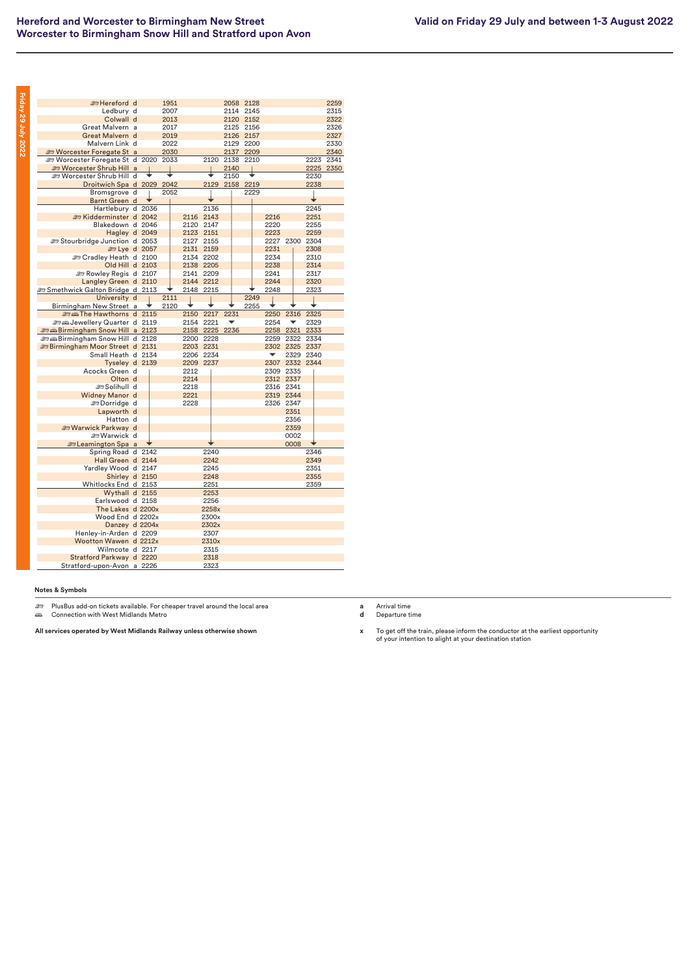| i                                                                                                                          |  |
|----------------------------------------------------------------------------------------------------------------------------|--|
| r<br>i                                                                                                                     |  |
| I<br>i                                                                                                                     |  |
| r<br>ı                                                                                                                     |  |
|                                                                                                                            |  |
| I                                                                                                                          |  |
| ı                                                                                                                          |  |
| ī<br>ı                                                                                                                     |  |
| I<br>ı                                                                                                                     |  |
| i                                                                                                                          |  |
|                                                                                                                            |  |
| ֠                                                                                                                          |  |
|                                                                                                                            |  |
| ı                                                                                                                          |  |
| <b>Contract Contract Contract Contract Contract Contract Contract Contract Contract Contract Contract Contract Co</b>      |  |
|                                                                                                                            |  |
| I                                                                                                                          |  |
|                                                                                                                            |  |
|                                                                                                                            |  |
|                                                                                                                            |  |
|                                                                                                                            |  |
| ı                                                                                                                          |  |
| i                                                                                                                          |  |
|                                                                                                                            |  |
| ī                                                                                                                          |  |
| ī<br><b>Contract Contract Contract Contract Contract Contract Contract Contract Contract Contract Contract Contract C</b>  |  |
| r                                                                                                                          |  |
| ۱                                                                                                                          |  |
| ı                                                                                                                          |  |
| i                                                                                                                          |  |
|                                                                                                                            |  |
| ı                                                                                                                          |  |
|                                                                                                                            |  |
|                                                                                                                            |  |
|                                                                                                                            |  |
|                                                                                                                            |  |
|                                                                                                                            |  |
| ı                                                                                                                          |  |
|                                                                                                                            |  |
|                                                                                                                            |  |
| ı<br><b>Contract Contract Contract Contract Contract Contract Contract Contract Contract Contract Contract Contract Co</b> |  |

| <b>E</b> Hereford d                         |  | 1951 |           |       | 2058 | 2128           |           |      |      |                | 2259 |
|---------------------------------------------|--|------|-----------|-------|------|----------------|-----------|------|------|----------------|------|
| Ledbury d                                   |  | 2007 |           |       |      | 2114 2145      |           |      |      |                | 2315 |
| Colwall d                                   |  | 2013 |           |       |      | 2120 2152      |           |      |      |                | 2322 |
| Great Malvern a                             |  | 2017 |           |       | 2125 | 2156           |           |      |      |                | 2326 |
| Great Malvern d                             |  | 2019 |           |       |      | 2126 2157      |           |      |      |                | 2327 |
| Malvern Link d                              |  | 2022 |           |       | 2129 | 2200           |           |      |      |                | 2330 |
| <b>ED Worcester Foregate St a</b>           |  | 2030 |           |       | 2137 | 2209           |           |      |      |                | 2340 |
| Worcester Foregate St d 2020 2033           |  |      |           | 2120  | 2138 | 2210           |           |      |      | 2223           | 2341 |
| <b>ED Worcester Shrub Hill a</b>            |  |      |           |       | 2140 |                |           |      |      | 2225           | 2350 |
| Worcester Shrub Hill d                      |  |      |           |       | 2150 |                |           |      |      | 2230           |      |
| Droitwich Spa d 2029 2042                   |  |      |           |       |      | 2129 2158 2219 |           |      |      | 2238           |      |
| Bromsgrove d                                |  | 2052 |           |       |      | 2229           |           |      |      |                |      |
| Barnt Green d                               |  |      |           |       |      |                |           |      |      |                |      |
| Hartlebury d 2036                           |  |      |           | 2136  |      |                |           |      |      | 2245           |      |
| Exidderminster d 2042                       |  |      | 2116 2143 |       |      |                | 2216      |      |      | 2251           |      |
| Blakedown d 2046                            |  |      | 2120 2147 |       |      |                | 2220      |      |      | 2255           |      |
| Hagley d 2049                               |  |      | 2123 2151 |       |      |                | 2223      |      |      | 2259           |      |
| Stourbridge Junction d 2053                 |  |      | 2127 2155 |       |      |                | 2227 2300 |      |      | 2304           |      |
| <b>Et Lye d 2057</b>                        |  |      | 2131      | 2159  |      |                | 2231      |      |      | 2308           |      |
| <b>ED Cradley Heath d 2100</b>              |  |      | 2134 2202 |       |      |                | 2234      |      |      | 2310           |      |
| Old Hill d 2103                             |  |      | 2138 2205 |       |      |                | 2238      |      |      | 2314           |      |
| Rowley Regis d 2107                         |  |      | 2141 2209 |       |      |                | 2241      |      |      | 2317           |      |
| Langley Green d 2110                        |  |      | 2144 2212 |       |      |                | 2244      |      |      | 2320           |      |
| <b>emethwick Galton Bridge d</b> 2113       |  |      | 2148 2215 |       |      |                | 2248      |      |      | 2323           |      |
| University d                                |  | 2111 |           |       |      | 2249           |           |      |      |                |      |
| Birmingham New Street a                     |  | 2120 |           |       |      | 2255           |           |      |      |                |      |
| me Hawthorns d 2115                         |  |      | 2150      | 2217  | 2231 |                | 2250      |      | 2316 | 2325           |      |
| Sextembery Quarter d 2119                   |  |      | 2154 2221 |       |      |                | 2254      |      | ▼    | 2329           |      |
| <b><i>a</i></b> Birmingham Snow Hill a 2123 |  |      | 2158 2225 |       | 2236 |                | 2258      | 2321 |      | 2333           |      |
| <b>end Birmingham Snow Hill d 2128</b>      |  |      | 2200      | 2228  |      |                | 2259      |      | 2322 | 2334           |      |
| <b>E</b> Birmingham Moor Street d 2131      |  |      | 2203 2231 |       |      |                |           |      |      | 2302 2325 2337 |      |
| Small Heath d 2134                          |  |      | 2206 2234 |       |      |                | ▼         |      |      | 2329 2340      |      |
| Tyseley d 2139                              |  |      | 2209 2237 |       |      |                |           |      |      | 2307 2332 2344 |      |
| Acocks Green d                              |  |      | 2212      |       |      |                | 2309 2335 |      |      |                |      |
| Olton d                                     |  |      | 2214      |       |      |                | 2312 2337 |      |      |                |      |
| ≞ Solihull d                                |  |      | 2218      |       |      |                | 2316 2341 |      |      |                |      |
| Widney Manor d                              |  |      | 2221      |       |      |                | 2319 2344 |      |      |                |      |
| <b>EDorridge</b> d                          |  |      | 2228      |       |      |                | 2326 2347 |      |      |                |      |
| Lapworth d                                  |  |      |           |       |      |                |           |      | 2351 |                |      |
| Hatton d                                    |  |      |           |       |      |                |           |      | 2356 |                |      |
| <b>E Warwick Parkway d</b>                  |  |      |           |       |      |                |           |      | 2359 |                |      |
| ≞ Warwick d                                 |  |      |           |       |      |                |           | 0002 |      |                |      |
| <b>En Leamington Spa</b> a                  |  |      |           |       |      |                |           | 0008 |      |                |      |
| Spring Road d 2142                          |  |      |           | 2240  |      |                |           |      |      | 2346           |      |
| Hall Green d 2144                           |  |      |           | 2242  |      |                |           |      |      | 2349           |      |
| Yardley Wood d 2147                         |  |      |           | 2245  |      |                |           |      |      | 2351           |      |
| Shirley d 2150                              |  |      |           | 2248  |      |                |           |      |      | 2355           |      |
| Whitlocks End d 2153                        |  |      |           | 2251  |      |                |           |      |      | 2359           |      |
| Wythall d 2155                              |  |      |           | 2253  |      |                |           |      |      |                |      |
| Earlswood d 2158                            |  |      |           | 2256  |      |                |           |      |      |                |      |
| The Lakes d 2200x                           |  |      |           | 2258x |      |                |           |      |      |                |      |
| Wood End d 2202x                            |  |      |           | 2300x |      |                |           |      |      |                |      |
| Danzey d 2204x                              |  |      |           | 2302x |      |                |           |      |      |                |      |
| Henley-in-Arden d 2209                      |  |      |           | 2307  |      |                |           |      |      |                |      |
| Wootton Wawen d 2212x                       |  |      |           | 2310x |      |                |           |      |      |                |      |
| Wilmcote d 2217                             |  |      |           | 2315  |      |                |           |      |      |                |      |
| Stratford Parkway d 2220                    |  |      |           | 2318  |      |                |           |      |      |                |      |
| Stratford-upon-Avon a 2226                  |  |      |           | 2323  |      |                |           |      |      |                |      |
|                                             |  |      |           |       |      |                |           |      |      |                |      |

<del>هك</del> PlusBus add-on tickets available. For cheaper travel around the local area<br>ه*ف* Connection with West Midlands Metro

**All services operated by West Midlands Railway unless otherwise shown**

**a** Arrival time **d** Departure time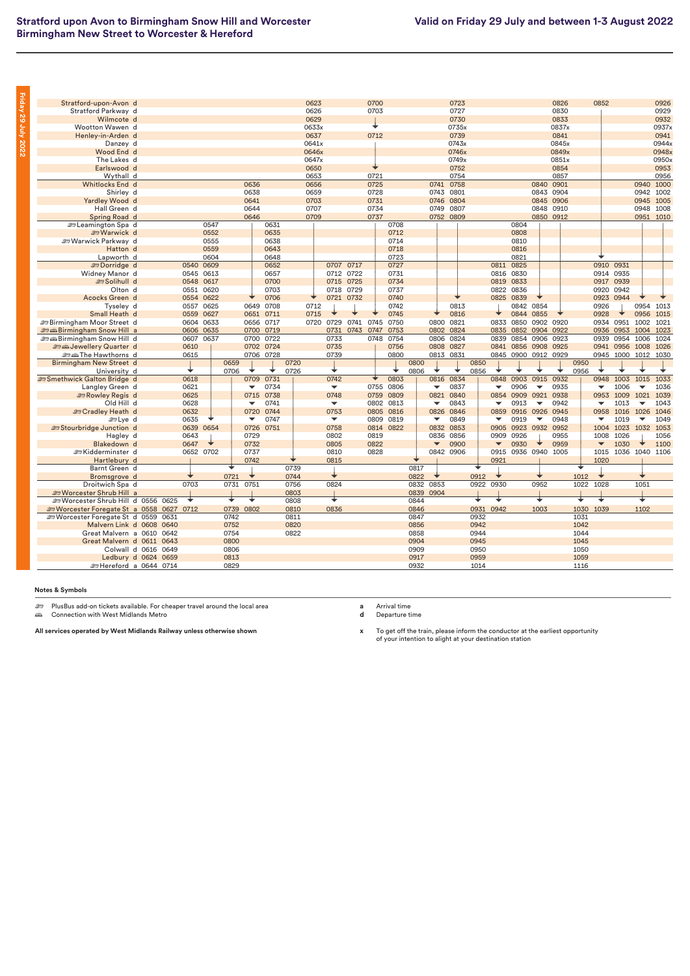| Stratford-upon-Avon d                          |      |              |           |      |                          |      |      | 0623  |                          |           | 0700 |           |      |                          | 0723      |      |                          |                |                          | 0826  |      | 0852                     |                |                          | 0926  |
|------------------------------------------------|------|--------------|-----------|------|--------------------------|------|------|-------|--------------------------|-----------|------|-----------|------|--------------------------|-----------|------|--------------------------|----------------|--------------------------|-------|------|--------------------------|----------------|--------------------------|-------|
| Stratford Parkway d                            |      |              |           |      |                          |      |      | 0626  |                          |           | 0703 |           |      |                          | 0727      |      |                          |                |                          | 0830  |      |                          |                |                          | 0929  |
| Wilmcote d                                     |      |              |           |      |                          |      |      | 0629  |                          |           |      |           |      |                          | 0730      |      |                          |                |                          | 0833  |      |                          |                |                          | 0932  |
| Wootton Wawen d                                |      |              |           |      |                          |      |      | 0633x |                          |           |      |           |      |                          | 0735x     |      |                          |                |                          | 0837x |      |                          |                |                          | 0937x |
| Henley-in-Arden d                              |      |              |           |      |                          |      |      | 0637  |                          |           | 0712 |           |      |                          | 0739      |      |                          |                |                          | 0841  |      |                          |                |                          | 0941  |
| Danzey d                                       |      |              |           |      |                          |      |      | 0641x |                          |           |      |           |      |                          | 0743x     |      |                          |                |                          | 0845x |      |                          |                |                          | 0944x |
| Wood End d                                     |      |              |           |      |                          |      |      | 0646x |                          |           |      |           |      |                          | 0746x     |      |                          |                |                          | 0849x |      |                          |                |                          | 0948x |
| The Lakes d                                    |      |              |           |      |                          |      |      | 0647x |                          |           |      |           |      |                          | 0749x     |      |                          |                |                          | 0851x |      |                          |                |                          | 0950x |
| Earlswood d                                    |      |              |           |      |                          |      |      | 0650  |                          |           |      |           |      |                          | 0752      |      |                          |                |                          | 0854  |      |                          |                |                          | 0953  |
| Wythall d                                      |      |              |           |      |                          |      |      | 0653  |                          |           | 0721 |           |      |                          | 0754      |      |                          |                |                          | 0857  |      |                          |                |                          | 0956  |
| Whitlocks End d                                |      |              |           |      | 0636                     |      |      | 0656  |                          |           | 0725 |           |      | 0741                     | 0758      |      |                          |                | 0840                     | 0901  |      |                          |                | 0940                     | 1000  |
| Shirley d                                      |      |              |           |      | 0638                     |      |      | 0659  |                          |           | 0728 |           |      | 0743                     | 0801      |      |                          |                | 0843                     | 0904  |      |                          |                | 0942                     | 1002  |
| Yardley Wood d                                 |      |              |           |      | 0641                     |      |      | 0703  |                          |           | 0731 |           |      | 0746                     | 0804      |      |                          |                | 0845                     | 0906  |      |                          |                | 0945 1005                |       |
| Hall Green d                                   |      |              |           |      | 0644                     |      |      | 0707  |                          |           | 0734 |           |      | 0749                     | 0807      |      |                          |                | 0848 0910                |       |      |                          |                | 0948 1008                |       |
| Spring Road d                                  |      |              |           |      | 0646                     |      |      | 0709  |                          |           | 0737 |           |      |                          | 0752 0809 |      |                          |                | 0850 0912                |       |      |                          |                | 0951 1010                |       |
| Eleamington Spa d                              |      |              | 0547      |      |                          | 0631 |      |       |                          |           |      | 0708      |      |                          |           |      |                          | 0804           |                          |       |      |                          |                |                          |       |
| <b>Sharwick</b> d                              |      |              | 0552      |      |                          | 0635 |      |       |                          |           |      | 0712      |      |                          |           |      |                          | 0808           |                          |       |      |                          |                |                          |       |
| <b>ED Warwick Parkway</b> d                    |      |              | 0555      |      |                          | 0638 |      |       |                          |           |      | 0714      |      |                          |           |      |                          | 0810           |                          |       |      |                          |                |                          |       |
| Hatton d                                       |      |              | 0559      |      |                          | 0643 |      |       |                          |           |      | 0718      |      |                          |           |      |                          | 0816           |                          |       |      |                          |                |                          |       |
| Lapworth d                                     |      |              | 0604      |      |                          | 0648 |      |       |                          |           |      | 0723      |      |                          |           |      |                          | 0821           |                          |       |      |                          |                |                          |       |
| <b>EDorridge</b> d                             |      | 0540         | 0609      |      |                          | 0652 |      |       | 0707                     | 0717      |      | 0727      |      |                          |           |      | 0811                     | 0825           |                          |       |      | 0910                     | 0931           |                          |       |
| Widney Manor d                                 |      | 0545 0613    |           |      |                          | 0657 |      |       | 0712                     | 0722      |      | 0731      |      |                          |           |      | 0816                     | 0830           |                          |       |      | 0914 0935                |                |                          |       |
| Solihull d                                     |      | 0548 0617    |           |      |                          | 0700 |      |       | 0715                     | 0725      |      | 0734      |      |                          |           |      | 0819                     | 0833           |                          |       |      | 0917 0939                |                |                          |       |
| Olton d                                        |      | 0551 0620    |           |      |                          | 0703 |      |       |                          | 0718 0729 |      | 0737      |      |                          |           |      | 0822 0836                |                |                          |       |      | 0920 0942                |                |                          |       |
| Acocks Green d                                 |      | 0554 0622    |           |      |                          | 0706 |      | ◆     |                          | 0721 0732 |      | 0740      |      |                          |           |      | 0825 0839                |                |                          |       |      |                          | 0923 0944      |                          |       |
| Tyseley d                                      |      | 0557 0625    |           |      | 0649                     | 0708 |      | 0712  |                          |           |      | 0742      |      |                          | 0813      |      |                          | 0842           | 0854                     |       |      | 0926                     |                | 0954                     | 1013  |
| Small Heath d                                  |      | 0559 0627    |           |      | 0651                     | 0711 |      | 0715  |                          |           |      | 0745      |      |                          | 0816      |      |                          | 0844           | 0855                     |       |      | 0928                     |                | 0956                     | 1015  |
| <b>Birmingham Moor Street deals</b>            |      | 0604 0633    |           |      | 0656                     | 0717 |      | 0720  | 0729                     | 0741 0745 |      | 0750      |      | 0800                     | 0821      |      | 0833                     | 0850           | 0902                     | 0920  |      |                          | 0934 0951 1002 |                          | 1021  |
| <b><i>a</i></b> Birmingham Snow Hill a         |      |              | 0606 0635 |      | 0700                     | 0719 |      |       | 0731                     | 0743 0747 |      | 0753      |      | 0802                     | 0824      |      | 0835                     |                | 0852 0904                | 0922  |      |                          | 0936 0953 1004 |                          | 1023  |
|                                                |      |              |           |      |                          |      |      |       |                          |           |      |           |      |                          |           |      |                          |                |                          |       |      |                          |                |                          |       |
| <b><i>a</i></b> Birmingham Snow Hill d         |      | 0607         | 0637      |      | 0700                     | 0722 |      |       | 0733                     |           | 0748 | 0754      |      | 0806                     | 0824      |      | 0839                     | 0854           | 0906                     | 0923  |      | 0939                     | 0954           | 1006                     | 1024  |
| <b>Some Jewellery Quarter d</b>                |      | 0610         |           |      | 0702 0724                |      |      |       | 0735                     |           |      | 0756      |      | 0808                     | 0827      |      |                          | 0841 0856 0908 |                          | 0925  |      |                          | 0941 0956 1008 |                          | 1026  |
| <b>es as The Hawthorns</b> d                   |      | 0615         |           |      | 0706 0728                |      |      |       | 0739                     |           |      | 0800      |      |                          | 0813 0831 |      |                          |                | 0845 0900 0912 0929      |       |      |                          | 0945 1000 1012 |                          | 1030  |
| Birmingham New Street d                        |      |              |           | 0659 |                          |      | 0720 |       |                          |           |      |           | 0800 |                          |           | 0850 |                          |                |                          |       | 0950 |                          |                |                          |       |
| University d                                   |      |              |           | 0706 |                          |      | 0726 |       |                          |           |      |           | 0806 |                          |           | 0856 |                          |                |                          |       | 0956 |                          |                |                          |       |
| Smethwick Galton Bridge d                      |      | 0618         |           |      | 0709                     | 0731 |      |       | 0742                     |           |      | 0803      |      | 0816                     | 0834      |      | 0848                     | 0903           | 0915                     | 0932  |      | 0948                     | 1003           | 1015                     | 1033  |
| Langley Green d                                |      | 0621         |           |      | $\overline{\phantom{a}}$ | 0734 |      |       | $\overline{\phantom{0}}$ |           | 0755 | 0806      |      | ▼                        | 0837      |      | ▼                        | 0906           | ▼                        | 0935  |      | $\overline{\phantom{0}}$ | 1006           | $\overline{\phantom{a}}$ | 1036  |
| Rowley Regis d                                 |      | 0625         |           |      | 0715                     | 0738 |      |       | 0748                     |           | 0759 | 0809      |      | 0821                     | 0840      |      | 0854                     | 0909           | 0921                     | 0938  |      | 0953                     | 1009           | 1021                     | 1039  |
| Old Hill d                                     |      | 0628         |           |      | $\overline{\phantom{a}}$ | 0741 |      |       | $\overline{\phantom{a}}$ |           |      | 0802 0813 |      | ▼                        | 0843      |      | ▼                        | 0913           | $\blacktriangledown$     | 0942  |      | ▼                        | 1013           | $\overline{\phantom{a}}$ | 1043  |
| <b>Endley Heath d</b>                          |      | 0632         |           |      | 0720                     | 0744 |      |       | 0753                     |           | 0805 | 0816      |      | 0826                     | 0846      |      | 0859                     | 0916 0926      |                          | 0945  |      | 0958                     | 1016 1026      |                          | 1046  |
| <b>b</b> Lve d                                 |      | 0635         |           |      | $\overline{\phantom{a}}$ | 0747 |      |       | $\blacktriangledown$     |           | 0809 | 0819      |      | ▼                        | 0849      |      | ▼                        | 0919           | $\overline{\phantom{a}}$ | 0948  |      | ▼                        | 1019           | ▼                        | 1049  |
| Stourbridge Junction d                         |      | 0639         | 0654      |      | 0726                     | 0751 |      |       | 0758                     |           | 0814 | 0822      |      | 0832                     | 0853      |      | 0905                     | 0923           | 0932                     | 0952  |      | 1004                     | 1023           | 1032                     | 1053  |
| Hagley d                                       |      | 0643         |           |      | 0729                     |      |      |       | 0802                     |           | 0819 |           |      | 0836                     | 0856      |      | 0909                     | 0926           |                          | 0955  |      | 1008                     | 1026           |                          | 1056  |
| Blakedown d                                    |      | 0647         |           |      | 0732                     |      |      |       | 0805                     |           | 0822 |           |      | $\overline{\phantom{a}}$ | 0900      |      | $\overline{\phantom{a}}$ | 0930           |                          | 0959  |      | $\overline{\phantom{0}}$ | 1030           |                          | 1100  |
| <b>⊯Kidderminster</b> d                        |      | 0652 0702    |           |      | 0737                     |      |      |       | 0810                     |           | 0828 |           |      |                          | 0842 0906 |      | 0915                     |                | 0936 0940 1005           |       |      | 1015                     | 1036 1040      |                          | 1106  |
| Hartlebury d                                   |      |              |           |      | 0742                     |      |      |       | 0815                     |           |      |           |      |                          |           |      | 0921                     |                |                          |       |      | 1020                     |                |                          |       |
| Barnt Green d                                  |      |              |           | +    |                          |      | 0739 |       |                          |           |      |           | 0817 |                          |           | ÷    |                          |                |                          |       |      |                          |                |                          |       |
| Bromsgrove d                                   |      |              |           | 0721 |                          |      | 0744 |       | ╈                        |           |      |           | 0822 |                          |           | 0912 |                          |                |                          |       | 1012 | ◆                        |                |                          |       |
| Droitwich Spa d                                |      | 0703         |           | 0731 | 0751                     |      | 0756 |       | 0824                     |           |      |           | 0832 | 0853                     |           | 0922 | 0930                     |                | 0952                     |       | 1022 | 1028                     |                | 1051                     |       |
| <b>ED Worcester Shrub Hill a</b>               |      |              |           |      |                          |      | 0803 |       |                          |           |      |           | 0839 | 0904                     |           |      |                          |                |                          |       |      |                          |                |                          |       |
| Sex Worcester Shrub Hill d                     | 0556 | ◆<br>0625    |           | ∓    | ⊌                        |      | 0808 |       | ∓                        |           |      |           | 0844 |                          |           | ╈    |                          |                | ∓                        |       | ÷    | ╈                        |                | ∓                        |       |
| Worcester Foregate St a 0558                   |      | 0712<br>0627 |           | 0739 | 0802                     |      | 0810 |       | 0836                     |           |      |           | 0846 |                          |           | 0931 | 0942                     |                | 1003                     |       | 1030 | 1039                     |                | 1102                     |       |
| Supervisor of the Vorcester Foregate St d 0559 |      | 0631         |           | 0742 |                          |      | 0811 |       |                          |           |      |           | 0847 |                          |           | 0932 |                          |                |                          |       | 1031 |                          |                |                          |       |
| Malvern Link d 0608                            |      | 0640         |           | 0752 |                          |      | 0820 |       |                          |           |      |           | 0856 |                          |           | 0942 |                          |                |                          |       | 1042 |                          |                |                          |       |
| Great Malvern a 0610                           |      | 0642         |           | 0754 |                          |      | 0822 |       |                          |           |      |           | 0858 |                          |           | 0944 |                          |                |                          |       | 1044 |                          |                |                          |       |
| Great Malvern d 0611 0643                      |      |              |           | 0800 |                          |      |      |       |                          |           |      |           | 0904 |                          |           | 0945 |                          |                |                          |       | 1045 |                          |                |                          |       |
| Colwall d 0616                                 |      | 0649         |           | 0806 |                          |      |      |       |                          |           |      |           | 0909 |                          |           | 0950 |                          |                |                          |       | 1050 |                          |                |                          |       |
| Ledbury d 0624 0659                            |      |              |           | 0813 |                          |      |      |       |                          |           |      |           | 0917 |                          |           | 0959 |                          |                |                          |       | 1059 |                          |                |                          |       |
| £Hereford a 0644 0714                          |      |              |           | 0829 |                          |      |      |       |                          |           |      |           | 0932 |                          |           | 1014 |                          |                |                          |       | 1116 |                          |                |                          |       |

**Friday 29 July 2022**

Friday 29 July 2022

<del>هك</del> PlusBus add-on tickets available. For cheaper travel around the local area<br>ه*ف* Connection with West Midlands Metro

**All services operated by West Midlands Railway unless otherwise shown**

**a** Arrival time **d** Departure time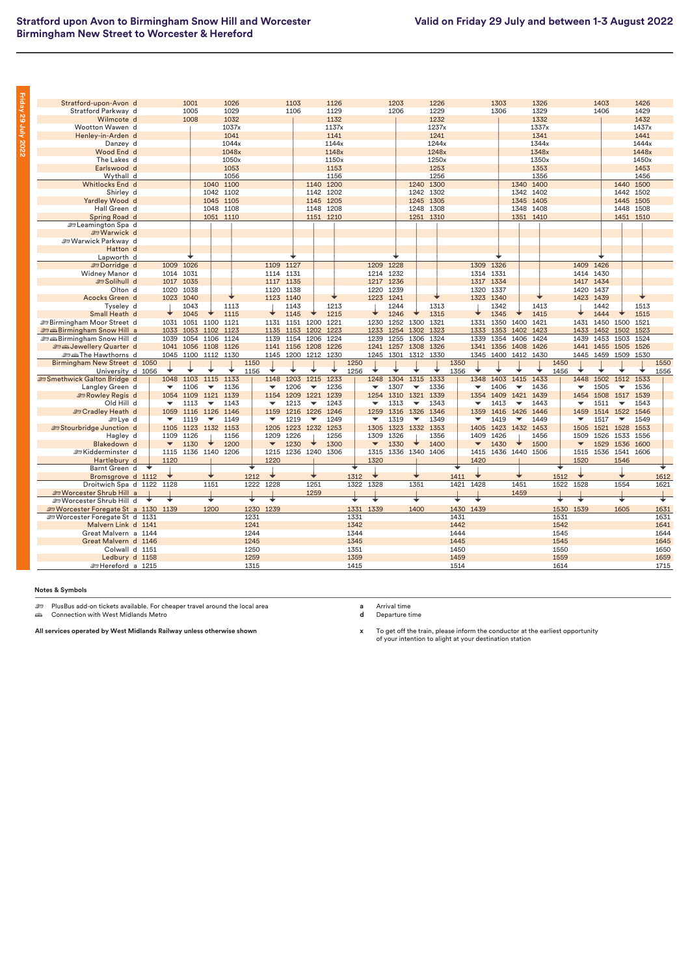| <b>Contract Contract Contract Contract Contract Contract Contract Contract Contract Contract Contract Contract Co</b><br>r<br>i |  |
|---------------------------------------------------------------------------------------------------------------------------------|--|
| ٠<br>r<br>٠                                                                                                                     |  |
| ı<br>٠<br>ı                                                                                                                     |  |
| I                                                                                                                               |  |
| i                                                                                                                               |  |
| ı                                                                                                                               |  |
|                                                                                                                                 |  |
| ı                                                                                                                               |  |
| ۰<br>r                                                                                                                          |  |
|                                                                                                                                 |  |
| ī<br>r                                                                                                                          |  |
| ł<br>I<br>i                                                                                                                     |  |
| ı                                                                                                                               |  |
|                                                                                                                                 |  |
| ı                                                                                                                               |  |
| ı                                                                                                                               |  |

| Stratford-upon-Avon d                  |   |                                  | 1001                |                          | 1026           |              |                                  | 1103      |                          | 1126      |              |                                  | 1203                |                          | 1226      |              |                      | 1303      |                          | 1326                |              |           | 1403           |                          | 1426  |              |
|----------------------------------------|---|----------------------------------|---------------------|--------------------------|----------------|--------------|----------------------------------|-----------|--------------------------|-----------|--------------|----------------------------------|---------------------|--------------------------|-----------|--------------|----------------------|-----------|--------------------------|---------------------|--------------|-----------|----------------|--------------------------|-------|--------------|
| Stratford Parkway d                    |   |                                  | 1005                |                          | 1029           |              |                                  | 1106      |                          | 1129      |              |                                  | 1206                |                          | 1229      |              |                      | 1306      |                          | 1329                |              |           | 1406           |                          | 1429  |              |
| Wilmcote d                             |   |                                  | 1008                |                          | 1032           |              |                                  |           |                          | 1132      |              |                                  |                     |                          | 1232      |              |                      |           |                          | 1332                |              |           |                |                          | 1432  |              |
| Wootton Wawen d                        |   |                                  |                     |                          | 1037x          |              |                                  |           |                          | 1137x     |              |                                  |                     |                          | 1237x     |              |                      |           |                          | 1337x               |              |           |                |                          | 1437x |              |
| Henley-in-Arden d                      |   |                                  |                     |                          | 1041           |              |                                  |           |                          | 1141      |              |                                  |                     |                          | 1241      |              |                      |           |                          | 1341                |              |           |                |                          | 1441  |              |
| Danzey d                               |   |                                  |                     |                          | 1044x          |              |                                  |           |                          | 1144x     |              |                                  |                     |                          | 1244x     |              |                      |           |                          | 1344x               |              |           |                |                          | 1444x |              |
| Wood End d                             |   |                                  |                     |                          | 1048x          |              |                                  |           |                          | 1148x     |              |                                  |                     |                          | 1248x     |              |                      |           |                          | 1348x               |              |           |                |                          | 1448x |              |
| The Lakes d                            |   |                                  |                     |                          | 1050x          |              |                                  |           |                          | 1150x     |              |                                  |                     |                          | 1250x     |              |                      |           |                          | 1350x               |              |           |                |                          | 1450x |              |
| Earlswood d                            |   |                                  |                     |                          | 1053           |              |                                  |           |                          | 1153      |              |                                  |                     |                          | 1253      |              |                      |           |                          | 1353                |              |           |                |                          | 1453  |              |
| Wythall d                              |   |                                  |                     |                          | 1056           |              |                                  |           |                          | 1156      |              |                                  |                     |                          | 1256      |              |                      |           |                          | 1356                |              |           |                |                          | 1456  |              |
| Whitlocks End d                        |   |                                  |                     |                          | 1040 1100      |              |                                  |           | 1140                     | 1200      |              |                                  |                     |                          | 1240 1300 |              |                      |           | 1340                     | 1400                |              |           |                | 1440                     | 1500  |              |
| Shirley d                              |   |                                  |                     |                          | 1042 1102      |              |                                  |           |                          | 1142 1202 |              |                                  |                     |                          | 1242 1302 |              |                      |           |                          | 1342 1402           |              |           |                | 1442 1502                |       |              |
| Yardley Wood d                         |   |                                  |                     | 1045                     | 1105           |              |                                  |           | 1145                     | 1205      |              |                                  |                     | 1245                     | 1305      |              |                      |           | 1345                     | 1405                |              |           |                | 1445 1505                |       |              |
| Hall Green d                           |   |                                  |                     |                          | 1048 1108      |              |                                  |           |                          | 1148 1208 |              |                                  |                     |                          | 1248 1308 |              |                      |           |                          | 1348 1408           |              |           |                | 1448 1508                |       |              |
| Spring Road d                          |   |                                  |                     |                          | 1051 1110      |              |                                  |           |                          | 1151 1210 |              |                                  |                     |                          | 1251 1310 |              |                      |           |                          | 1351 1410           |              |           |                | 1451 1510                |       |              |
| <b>En Leamington Spa</b> d             |   |                                  |                     |                          |                |              |                                  |           |                          |           |              |                                  |                     |                          |           |              |                      |           |                          |                     |              |           |                |                          |       |              |
| <b>EVarwick d</b>                      |   |                                  |                     |                          |                |              |                                  |           |                          |           |              |                                  |                     |                          |           |              |                      |           |                          |                     |              |           |                |                          |       |              |
| <b>ED Warwick Parkway d</b>            |   |                                  |                     |                          |                |              |                                  |           |                          |           |              |                                  |                     |                          |           |              |                      |           |                          |                     |              |           |                |                          |       |              |
| Hatton d                               |   |                                  |                     |                          |                |              |                                  |           |                          |           |              |                                  |                     |                          |           |              |                      |           |                          |                     |              |           |                |                          |       |              |
| Lapworth d                             |   |                                  |                     |                          |                |              |                                  |           |                          |           |              |                                  |                     |                          |           |              |                      |           |                          |                     |              |           |                |                          |       |              |
| <b>EDorridge</b> d                     |   | 1009                             | 1026                |                          |                |              | 1109 1127                        |           |                          |           |              |                                  | 1209 1228           |                          |           |              | 1309 1326            |           |                          |                     |              | 1409 1426 |                |                          |       |              |
| Widney Manor d                         |   | 1014                             | 1031                |                          |                |              | 1114 1131                        |           |                          |           |              |                                  | 1214 1232           |                          |           |              | 1314 1331            |           |                          |                     |              | 1414 1430 |                |                          |       |              |
| Solihull d                             |   | 1017 1035                        |                     |                          |                |              | 1117 1135                        |           |                          |           |              |                                  | 1217 1236           |                          |           |              | 1317 1334            |           |                          |                     |              | 1417 1434 |                |                          |       |              |
| Olton d                                |   | 1020                             | 1038                |                          |                |              | 1120 1138                        |           |                          |           |              | 1220 1239                        |                     |                          |           |              | 1320 1337            |           |                          |                     |              | 1420 1437 |                |                          |       |              |
| Acocks Green d                         |   | 1023 1040                        |                     |                          |                |              | 1123 1140                        |           |                          |           |              | 1223 1241                        |                     |                          |           |              | 1323 1340            |           |                          |                     |              | 1423 1439 |                |                          |       |              |
| Tyseley d                              |   |                                  | 1043                |                          | 1113           |              |                                  | 1143      |                          | 1213      |              |                                  | 1244                |                          | 1313      |              |                      | 1342      |                          | 1413                |              |           | 1442           |                          | 1513  |              |
| Small Heath d                          |   |                                  | 1045                |                          | 1115           |              |                                  | 1145      |                          | 1215      |              |                                  | 1246                |                          | 1315      |              |                      | 1345      |                          | 1415                |              |           | 1444           | ÷                        | 1515  |              |
| <b>EBirmingham Moor Street deals</b>   |   | 1031                             | 1051 1100           |                          | 1121           |              | 1131                             | 1151 1200 |                          | 1221      |              | 1230                             | 1252 1300           |                          | 1321      |              | 1331                 | 1350      | 1400                     | 1421                |              | 1431      | 1450 1500      |                          | 1521  |              |
| <b><i>a</i></b> Birmingham Snow Hill a |   | 1033                             | 1053 1102 1123      |                          |                |              | 1135                             |           | 1153 1202                | 1223      |              | 1233                             |                     | 1254 1302 1323           |           |              | 1333                 | 1353      |                          | 1402 1423           |              | 1433      | 1452           | 1502 1523                |       |              |
|                                        |   |                                  |                     |                          |                |              |                                  |           |                          |           |              |                                  |                     |                          |           |              |                      |           |                          |                     |              |           |                |                          |       |              |
|                                        |   |                                  |                     |                          |                |              |                                  |           |                          |           |              |                                  |                     |                          |           |              |                      |           |                          |                     |              |           |                |                          |       |              |
| ا Birmingham Snow Hillه <del>ش</del>   |   | 1039                             | 1054 1106           |                          | 1124           |              | 1139                             |           | 1154 1206                | 1224      |              | 1239                             |                     | 1255 1306                | 1324      |              | 1339                 | 1354      |                          | 1406 1424           |              | 1439      | 1453 1503 1524 |                          |       |              |
| <b>Endealery Quarter d</b>             |   | 1041                             | 1056 1108 1126      |                          |                |              | 1141                             |           | 1156 1208                | 1226      |              | 1241                             | 1257 1308 1326      |                          |           |              |                      |           |                          | 1341 1356 1408 1426 |              |           |                | 1441 1455 1505 1526      |       |              |
| <i>ஊ</i> க்#The Hawthorns d            |   |                                  | 1045 1100 1112 1130 |                          |                |              |                                  |           | 1145 1200 1212 1230      |           |              |                                  | 1245 1301 1312 1330 |                          |           |              |                      |           |                          | 1345 1400 1412 1430 |              |           |                | 1445 1459 1509 1530      |       |              |
| Birmingham New Street d 1050           |   | ÷                                |                     |                          |                | 1150         |                                  |           |                          |           | 1250         |                                  |                     |                          |           | 1350         |                      |           |                          |                     | 1450         |           |                |                          |       | 1550         |
| University d 1056                      |   |                                  |                     |                          |                | 1156         |                                  |           |                          |           | 1256         |                                  |                     |                          |           | 1356         |                      |           |                          |                     | 1456         |           |                |                          |       | 1556         |
| Smethwick Galton Bridge d              |   | 1048                             | 1103                | 1115                     | 1133           |              | 1148                             | 1203      | 1215                     | 1233      |              | 1248                             | 1304                | 1315                     | 1333      |              | 1348                 | 1403      | 1415                     | 1433                |              | 1448      | 1502           | 1512 1533                |       |              |
| Langley Green d                        |   | $\overline{\phantom{a}}$         | 1106                | $\overline{\phantom{a}}$ | 1136           |              | ▼                                | 1206      | $\overline{\phantom{a}}$ | 1236      |              | $\overline{\phantom{a}}$         | 1307                | $\overline{\phantom{a}}$ | 1336      |              |                      | 1406      | $\overline{\phantom{a}}$ | 1436                |              |           | 1505           | $\overline{\phantom{a}}$ | 1536  |              |
| <b>EROWley Regis d</b>                 |   | 1054                             | 1109                | 1121 1139                |                |              | 1154                             | 1209      | 1221                     | 1239      |              | 1254                             | 1310                | 1321                     | 1339      |              | 1354                 | 1409      | 1421                     | 1439                |              | 1454      | 1508           | 1517 1539                |       |              |
| Old Hill d                             |   | $\overline{\phantom{a}}$         | 1113                | $\overline{\phantom{a}}$ | 1143           |              | ▼                                | 1213      | $\overline{\phantom{a}}$ | 1243      |              |                                  | 1313                | $\overline{\phantom{a}}$ | 1343      |              |                      | 1413      | $\overline{\phantom{a}}$ | 1443                |              |           | 1511           | $\overline{\phantom{a}}$ | 1543  |              |
| <b>En Cradley Heath d</b>              |   | 1059<br>$\overline{\phantom{a}}$ |                     |                          | 1116 1126 1146 |              | 1159<br>$\overline{\phantom{a}}$ |           | 1216 1226                | 1246      |              | 1259<br>$\overline{\phantom{a}}$ |                     | 1316 1326                | 1346      |              | 1359<br>▼            | 1416 1426 |                          | 1446                |              | 1459<br>▼ |                | 1514 1522 1546           |       |              |
| <b>extract</b>                         |   |                                  | 1119                | $\overline{\phantom{a}}$ | 1149           |              |                                  | 1219      | $\overline{\phantom{a}}$ | 1249      |              |                                  | 1319                | $\overline{\phantom{a}}$ | 1349      |              |                      | 1419      | $\overline{\phantom{a}}$ | 1449                |              |           | 1517           | ▼                        | 1549  |              |
| Stourbridge Junction d                 |   | 1105                             | 1123 1132 1153      |                          |                |              | 1205                             | 1223      | 1232                     | 1253      |              | 1305                             | 1323                | 1332                     | 1353      |              | 1405                 | 1423      | 1432                     | 1453                |              | 1505      | 1521 1528      |                          | 1553  |              |
| Hagley d                               |   | 1109                             | 1126                |                          | 1156           |              | 1209                             | 1226      |                          | 1256      |              | 1309                             | 1326                |                          | 1356      |              | 1409                 | 1426      |                          | 1456                |              | 1509      | 1526           | 1533 1556                |       |              |
| Blakedown d                            |   | $\overline{\phantom{a}}$         | 1130                |                          | 1200           |              | $\overline{\phantom{a}}$         | 1230      |                          | 1300      |              | $\overline{\phantom{a}}$         | 1330                |                          | 1400      |              | $\blacktriangledown$ | 1430      |                          | 1500                |              |           |                | 1529 1536 1600           |       |              |
| Sidderminster d                        |   | 1115                             | 1136 1140 1206      |                          |                |              | 1215                             |           | 1236 1240 1306           |           |              |                                  | 1315 1336 1340 1406 |                          |           |              | 1415                 |           |                          | 1436 1440 1506      |              | 1515      |                | 1536 1541 1606           |       |              |
| Hartlebury d                           |   | 1120                             |                     |                          |                |              | 1220                             |           |                          |           |              | 1320                             |                     |                          |           |              | 1420                 |           |                          |                     |              | 1520      |                | 1546                     |       |              |
| Barnt Green d                          | ◆ |                                  |                     |                          |                | ∓            |                                  |           |                          |           | ∓            |                                  |                     |                          |           | ◆            |                      |           |                          |                     | ÷            |           |                |                          |       |              |
| Bromsgrove d 1112                      |   |                                  |                     |                          |                | 1212         | ◆                                |           |                          |           | 1312         | ◆                                |                     |                          |           | 1411         |                      |           |                          |                     | 1512         |           |                | ÷                        |       | 1612         |
| Droitwich Spa d 1122 1128              |   |                                  |                     | 1151                     |                | 1222         | 1228                             |           | 1251                     |           | 1322         | 1328                             |                     | 1351                     |           | 1421         | 1428                 |           | 1451                     |                     | 1522         | 1528      |                | 1554                     |       | 1621         |
| <b>ED Worcester Shrub Hill a</b>       |   |                                  |                     |                          |                |              |                                  |           | 1259                     |           |              |                                  |                     |                          |           |              |                      |           | 1459                     |                     |              |           |                |                          |       |              |
| Sworcester Shrub Hill d                | ↴ | ↴                                |                     | ∓                        |                | ∓            | ⊌                                |           |                          |           | ∓            | ∓                                |                     | ∓                        |           | ∓            | ¥                    |           |                          |                     | ∓            | ∓         |                | ∓                        |       | ↧            |
| SUN Orcester Foregate St a 1130 1139   |   |                                  |                     | 1200                     |                | 1230         | 1239                             |           |                          |           | 1331         | 1339                             |                     | 1400                     |           | 1430         | 1439                 |           |                          |                     | 1530         | 1539      |                | 1605                     |       | 1631         |
| SWorcester Foregate St d 1131          |   |                                  |                     |                          |                | 1231         |                                  |           |                          |           | 1331         |                                  |                     |                          |           | 1431         |                      |           |                          |                     | 1531         |           |                |                          |       | 1631         |
| Malvern Link d 1141                    |   |                                  |                     |                          |                | 1241         |                                  |           |                          |           | 1342         |                                  |                     |                          |           | 1442         |                      |           |                          |                     | 1542         |           |                |                          |       | 1641         |
| Great Malvern a 1144                   |   |                                  |                     |                          |                | 1244         |                                  |           |                          |           | 1344         |                                  |                     |                          |           | 1444         |                      |           |                          |                     | 1545         |           |                |                          |       | 1644         |
| Great Malvern d 1146                   |   |                                  |                     |                          |                | 1245         |                                  |           |                          |           | 1345         |                                  |                     |                          |           | 1445         |                      |           |                          |                     | 1545         |           |                |                          |       | 1645         |
| Colwall d 1151                         |   |                                  |                     |                          |                | 1250         |                                  |           |                          |           | 1351         |                                  |                     |                          |           | 1450         |                      |           |                          |                     | 1550         |           |                |                          |       | 1650         |
| Ledbury d 1158<br>streford a 1215      |   |                                  |                     |                          |                | 1259<br>1315 |                                  |           |                          |           | 1359<br>1415 |                                  |                     |                          |           | 1459<br>1514 |                      |           |                          |                     | 1559<br>1614 |           |                |                          |       | 1659<br>1715 |

<del>هك</del> PlusBus add-on tickets available. For cheaper travel around the local area<br>ه*ف* Connection with West Midlands Metro

**All services operated by West Midlands Railway unless otherwise shown**

**a** Arrival time **d** Departure time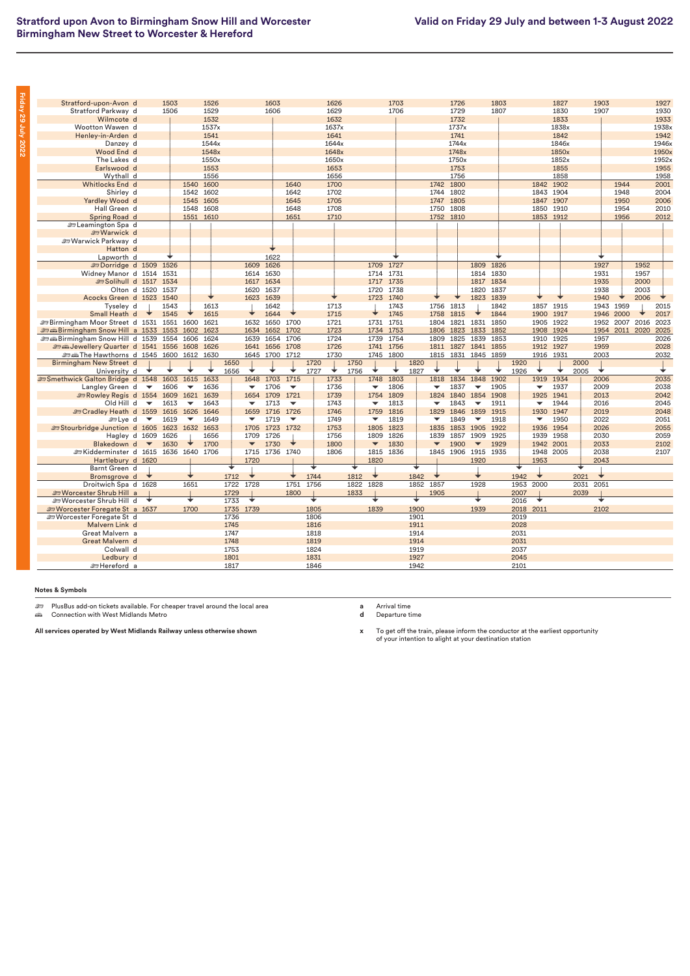| Stratford-upon-Avon d                                            |                          | 1503 |                          | 1526      |      |                          | 1603           |                          |      | 1626  |      |                          | 1703      |      |                          | 1726      |                          | 1803      |              |                          | 1827      |      | 1903      |                |      | 1927  |
|------------------------------------------------------------------|--------------------------|------|--------------------------|-----------|------|--------------------------|----------------|--------------------------|------|-------|------|--------------------------|-----------|------|--------------------------|-----------|--------------------------|-----------|--------------|--------------------------|-----------|------|-----------|----------------|------|-------|
| Stratford Parkway d                                              |                          | 1506 |                          | 1529      |      |                          | 1606           |                          |      | 1629  |      |                          | 1706      |      |                          | 1729      |                          | 1807      |              |                          | 1830      |      | 1907      |                |      | 1930  |
| Wilmcote d                                                       |                          |      |                          | 1532      |      |                          |                |                          |      | 1632  |      |                          |           |      |                          | 1732      |                          |           |              |                          | 1833      |      |           |                |      | 1933  |
| Wootton Wawen d                                                  |                          |      |                          | 1537x     |      |                          |                |                          |      | 1637x |      |                          |           |      |                          | 1737x     |                          |           |              |                          | 1838x     |      |           |                |      | 1938x |
| Henley-in-Arden d                                                |                          |      |                          | 1541      |      |                          |                |                          |      | 1641  |      |                          |           |      |                          | 1741      |                          |           |              |                          | 1842      |      |           |                |      | 1942  |
| Danzey d                                                         |                          |      |                          | 1544x     |      |                          |                |                          |      | 1644x |      |                          |           |      |                          | 1744x     |                          |           |              |                          | 1846x     |      |           |                |      | 1946x |
| Wood End d                                                       |                          |      |                          | 1548x     |      |                          |                |                          |      | 1648x |      |                          |           |      |                          | 1748x     |                          |           |              |                          | 1850x     |      |           |                |      | 1950x |
| The Lakes d                                                      |                          |      |                          | 1550x     |      |                          |                |                          |      | 1650x |      |                          |           |      |                          | 1750x     |                          |           |              |                          | 1852x     |      |           |                |      | 1952x |
|                                                                  |                          |      |                          | 1553      |      |                          |                |                          |      | 1653  |      |                          |           |      |                          | 1753      |                          |           |              |                          | 1855      |      |           |                |      | 1955  |
| Earlswood d                                                      |                          |      |                          | 1556      |      |                          |                |                          |      | 1656  |      |                          |           |      |                          | 1756      |                          |           |              |                          | 1858      |      |           |                |      |       |
| Wythall d                                                        |                          |      |                          |           |      |                          |                |                          |      |       |      |                          |           |      |                          |           |                          |           |              |                          |           |      |           |                |      | 1958  |
| Whitlocks End d                                                  |                          |      | 1540                     | 1600      |      |                          |                | 1640                     |      | 1700  |      |                          |           |      |                          | 1742 1800 |                          |           |              | 1842                     | 1902      |      |           | 1944           |      | 2001  |
| Shirley d                                                        |                          |      |                          | 1542 1602 |      |                          |                | 1642                     |      | 1702  |      |                          |           |      | 1744 1802                |           |                          |           |              |                          | 1843 1904 |      |           | 1948           |      | 2004  |
| Yardley Wood d                                                   |                          |      | 1545                     | 1605      |      |                          |                | 1645                     |      | 1705  |      |                          |           |      | 1747                     | 1805      |                          |           |              |                          | 1847 1907 |      |           | 1950           |      | 2006  |
| Hall Green d                                                     |                          |      | 1548                     | 1608      |      |                          |                | 1648                     |      | 1708  |      |                          |           |      | 1750                     | 1808      |                          |           |              |                          | 1850 1910 |      |           | 1954           |      | 2010  |
| Spring Road d                                                    |                          |      | 1551 1610                |           |      |                          |                | 1651                     |      | 1710  |      |                          |           |      | 1752 1810                |           |                          |           |              |                          | 1853 1912 |      |           | 1956           |      | 2012  |
| . உடeamington Spa⊥d                                              |                          |      |                          |           |      |                          |                |                          |      |       |      |                          |           |      |                          |           |                          |           |              |                          |           |      |           |                |      |       |
| <b>E</b> Warwick d                                               |                          |      |                          |           |      |                          |                |                          |      |       |      |                          |           |      |                          |           |                          |           |              |                          |           |      |           |                |      |       |
| Warwick Parkway d                                                |                          |      |                          |           |      |                          |                |                          |      |       |      |                          |           |      |                          |           |                          |           |              |                          |           |      |           |                |      |       |
| Hatton d                                                         |                          |      |                          |           |      |                          |                |                          |      |       |      |                          |           |      |                          |           |                          |           |              |                          |           |      |           |                |      |       |
| Lapworth d                                                       |                          |      |                          |           |      |                          | 1622           |                          |      |       |      |                          |           |      |                          |           |                          |           |              |                          |           |      |           |                |      |       |
| <b>EDorridge d 1509 1526</b>                                     |                          |      |                          |           |      |                          | 1609 1626      |                          |      |       |      | 1709 1727                |           |      |                          |           | 1809                     | 1826      |              |                          |           |      | 1927      |                | 1952 |       |
| Widney Manor d 1514 1531                                         |                          |      |                          |           |      |                          | 1614 1630      |                          |      |       |      |                          | 1714 1731 |      |                          |           |                          | 1814 1830 |              |                          |           |      | 1931      |                | 1957 |       |
| Solihull d 1517 1534                                             |                          |      |                          |           |      |                          | 1617 1634      |                          |      |       |      |                          | 1717 1735 |      |                          |           |                          | 1817 1834 |              |                          |           |      | 1935      |                | 2000 |       |
| Olton d 1520                                                     |                          | 1537 |                          |           |      |                          | 1620 1637      |                          |      |       |      | 1720                     | 1738      |      |                          |           | 1820 1837                |           |              |                          |           |      | 1938      |                | 2003 |       |
| Acocks Green d 1523 1540                                         |                          |      |                          |           |      |                          | 1623 1639      |                          |      |       |      |                          | 1723 1740 |      |                          |           | 1823 1839                |           |              |                          |           |      | 1940      |                | 2006 |       |
| Tyseley d                                                        |                          | 1543 |                          | 1613      |      |                          | 1642           |                          |      | 1713  |      |                          | 1743      |      | 1756                     | 1813      |                          | 1842      |              |                          | 1857 1915 |      | 1943 1959 |                |      | 2015  |
| Small Heath d                                                    |                          | 1545 |                          | 1615      |      |                          | 1644           |                          |      | 1715  |      |                          | 1745      |      | 1758                     | 1815      |                          | 1844      |              | 1900                     | 1917      |      |           | 1946 2000      |      | 2017  |
| <b>EDITE Birmingham Moor Street d 1531 1551 1600</b>             |                          |      |                          | 1621      |      |                          | 1632 1650 1700 |                          |      | 1721  |      | 1731 1751                |           |      | 1804                     | 1821      | 1831 1850                |           |              |                          | 1905 1922 |      |           | 1952 2007 2016 |      | 2023  |
| <b><i>a</i></b> and Birmingham Snow Hill a 1533 1553             |                          |      | 1602 1623                |           |      |                          | 1634 1652      | 1702                     |      | 1723  |      |                          | 1734 1753 |      |                          | 1806 1823 | 1833 1852                |           |              |                          | 1908 1924 |      |           | 1954 2011 2020 |      | 2025  |
|                                                                  |                          |      |                          |           |      | 1639                     |                |                          |      | 1724  |      |                          |           |      |                          |           |                          |           |              |                          |           |      |           |                |      |       |
| <b>end Birmingham Snow Hill d 1539 1554</b>                      |                          |      | 1606 1624                |           |      |                          | 1654           | 1706                     |      |       |      | 1739                     | 1754      |      | 1809                     | 1825      | 1839 1853                |           |              | 1910                     | 1925      |      | 1957      |                |      | 2026  |
| Sex Jewellery Quarter d 1541 1556 1608                           |                          |      |                          | 1626      |      |                          | 1641 1656 1708 |                          |      | 1726  |      |                          | 1741 1756 |      |                          |           | 1811 1827 1841 1855      |           |              |                          | 1912 1927 |      | 1959      |                |      | 2028  |
| <b>et also 1600 1612 1630</b> to Hawthorns d 1545 1600 1612 1630 |                          |      |                          |           |      |                          | 1645 1700 1712 |                          |      | 1730  |      |                          | 1745 1800 |      |                          |           | 1815 1831 1845 1859      |           |              |                          | 1916 1931 |      | 2003      |                |      | 2032  |
| Birmingham New Street d                                          |                          |      |                          |           | 1650 |                          |                |                          | 1720 |       | 1750 |                          |           | 1820 |                          |           |                          |           | 1920         |                          |           | 2000 |           |                |      |       |
| University d                                                     |                          |      |                          |           | 1656 | ÷                        |                |                          | 1727 |       | 1756 |                          |           | 1827 |                          |           |                          |           | 1926         |                          |           | 2005 | ◆         |                |      |       |
| Smethwick Galton Bridge d 1548 1603                              |                          |      | 1615                     | 1633      |      |                          | 1648 1703      | 1715                     |      | 1733  |      | 1748                     | 1803      |      | 1818                     | 1834      | 1848                     | 1902      |              | 1919                     | 1934      |      | 2006      |                |      | 2035  |
| Langley Green d                                                  | $\overline{\phantom{a}}$ | 1606 | $\blacktriangledown$     | 1636      |      | $\overline{\phantom{a}}$ | 1706           | $\overline{\phantom{a}}$ |      | 1736  |      | $\blacktriangledown$     | 1806      |      | $\overline{\phantom{a}}$ | 1837      | $\overline{\phantom{0}}$ | 1905      |              | $\overline{\phantom{0}}$ | 1937      |      | 2009      |                |      | 2038  |
| Rowley Regis d 1554 1609                                         |                          |      | 1621 1639                |           |      |                          | 1654 1709      | 1721                     |      | 1739  |      | 1754                     | 1809      |      | 1824                     |           | 1840 1854 1908           |           |              | 1925                     | 1941      |      | 2013      |                |      | 2042  |
| Old Hill d                                                       | $\overline{\phantom{a}}$ | 1613 | $\overline{\phantom{a}}$ | 1643      |      | $\overline{\phantom{a}}$ | 1713           | $\overline{\phantom{a}}$ |      | 1743  |      | $\overline{\phantom{a}}$ | 1813      |      | $\overline{\phantom{a}}$ | 1843      | $\overline{\phantom{a}}$ | 1911      |              | ▼                        | 1944      |      | 2016      |                |      | 2045  |
| Sex Cradley Heath d 1559                                         |                          | 1616 | 1626 1646                |           |      |                          | 1659 1716 1726 |                          |      | 1746  |      | 1759                     | 1816      |      | 1829                     | 1846      | 1859                     | 1915      |              | 1930                     | 1947      |      | 2019      |                |      | 2048  |
| <b>Solve</b> d                                                   | $\blacktriangledown$     | 1619 | $\blacktriangledown$     | 1649      |      | $\overline{\phantom{a}}$ | 1719           | $\overline{\phantom{a}}$ |      | 1749  |      | $\blacktriangledown$     | 1819      |      | $\overline{\phantom{a}}$ | 1849      | ▼                        | 1918      |              | ▼                        | 1950      |      | 2022      |                |      | 2051  |
| Stourbridge Junction d 1605 1623                                 |                          |      | 1632 1653                |           |      | 1705                     | 1723 1732      |                          |      | 1753  |      | 1805                     | 1823      |      | 1835                     |           | 1853 1905 1922           |           |              | 1936                     | 1954      |      | 2026      |                |      | 2055  |
| Hagley d 1609                                                    |                          | 1626 |                          | 1656      |      |                          | 1709 1726      |                          |      | 1756  |      | 1809                     | 1826      |      | 1839                     | 1857      | 1909 1925                |           |              | 1939                     | 1958      |      | 2030      |                |      | 2059  |
| Blakedown d                                                      | $\overline{\phantom{a}}$ | 1630 |                          | 1700      |      | $\blacktriangledown$     | 1730           |                          |      | 1800  |      | $\blacktriangledown$     | 1830      |      | $\overline{\phantom{a}}$ | 1900      | $\blacktriangledown$     | 1929      |              |                          | 1942 2001 |      | 2033      |                |      | 2102  |
| EXidderminster d 1615 1636 1640 1706                             |                          |      |                          |           |      |                          | 1715 1736 1740 |                          |      | 1806  |      | 1815                     | 1836      |      | 1845                     | 1906      | 1915 1935                |           |              |                          | 1948 2005 |      | 2038      |                |      | 2107  |
| Hartlebury d 1620                                                |                          |      |                          |           |      | 1720                     |                |                          |      |       |      | 1820                     |           |      |                          |           | 1920                     |           |              | 1953                     |           |      | 2043      |                |      |       |
| Barnt Green d                                                    |                          |      |                          |           | ÷    |                          |                |                          | ∓    |       |      |                          |           | ↴    |                          |           |                          |           | ∓            |                          |           | ╈    |           |                |      |       |
| Bromsgrove d                                                     |                          |      |                          |           | 1712 | ◆                        |                |                          | 1744 |       | 1812 | ◆                        |           | 1842 |                          |           | ╈                        |           | 1942         | ╈                        |           | 2021 | ◆         |                |      |       |
| Droitwich Spa d 1628                                             |                          |      | 1651                     |           | 1722 | 1728                     |                | 1751                     | 1756 |       | 1822 | 1828                     |           | 1852 | 1857                     |           | 1928                     |           | 1953         | 2000                     |           | 2031 | 2051      |                |      |       |
|                                                                  |                          |      |                          |           |      |                          |                |                          |      |       |      |                          |           |      |                          |           |                          |           |              |                          |           |      |           |                |      |       |
| <b>ED Worcester Shrub Hill a</b>                                 |                          |      | ∓                        |           | 1729 | D                        |                | 1800                     |      |       | 1833 |                          |           |      | 1905                     |           | ∓                        |           | 2007<br>2016 | ◆                        |           | 2039 |           |                |      |       |
| Sworcester Shrub Hill d                                          |                          |      |                          |           | 1733 |                          |                |                          |      |       |      |                          |           |      |                          |           |                          |           |              |                          |           |      |           |                |      |       |
| <b>ED Worcester Foregate St a 1637</b>                           |                          |      | 1700                     |           | 1735 | 1739                     |                |                          | 1805 |       |      | 1839                     |           | 1900 |                          |           | 1939                     |           | 2018 2011    |                          |           |      | 2102      |                |      |       |
| <b>Sex Worcester Foregate St d</b>                               |                          |      |                          |           | 1736 |                          |                |                          | 1806 |       |      |                          |           | 1901 |                          |           |                          |           | 2019         |                          |           |      |           |                |      |       |
| Malvern Link d                                                   |                          |      |                          |           | 1745 |                          |                |                          | 1816 |       |      |                          |           | 1911 |                          |           |                          |           | 2028         |                          |           |      |           |                |      |       |
| Great Malvern a                                                  |                          |      |                          |           | 1747 |                          |                |                          | 1818 |       |      |                          |           | 1914 |                          |           |                          |           | 2031         |                          |           |      |           |                |      |       |
| Great Malvern d                                                  |                          |      |                          |           | 1748 |                          |                |                          | 1819 |       |      |                          |           | 1914 |                          |           |                          |           | 2031         |                          |           |      |           |                |      |       |
| Colwall d                                                        |                          |      |                          |           | 1753 |                          |                |                          | 1824 |       |      |                          |           | 1919 |                          |           |                          |           | 2037         |                          |           |      |           |                |      |       |
| Ledbury d                                                        |                          |      |                          |           | 1801 |                          |                |                          | 1831 |       |      |                          |           | 1927 |                          |           |                          |           | 2045         |                          |           |      |           |                |      |       |
| ≞ Hereford a                                                     |                          |      |                          |           | 1817 |                          |                |                          | 1846 |       |      |                          |           | 1942 |                          |           |                          |           | 2101         |                          |           |      |           |                |      |       |

<del>هك</del> PlusBus add-on tickets available. For cheaper travel around the local area<br>ه*ف* Connection with West Midlands Metro

**All services operated by West Midlands Railway unless otherwise shown**

**a** Arrival time **d** Departure time